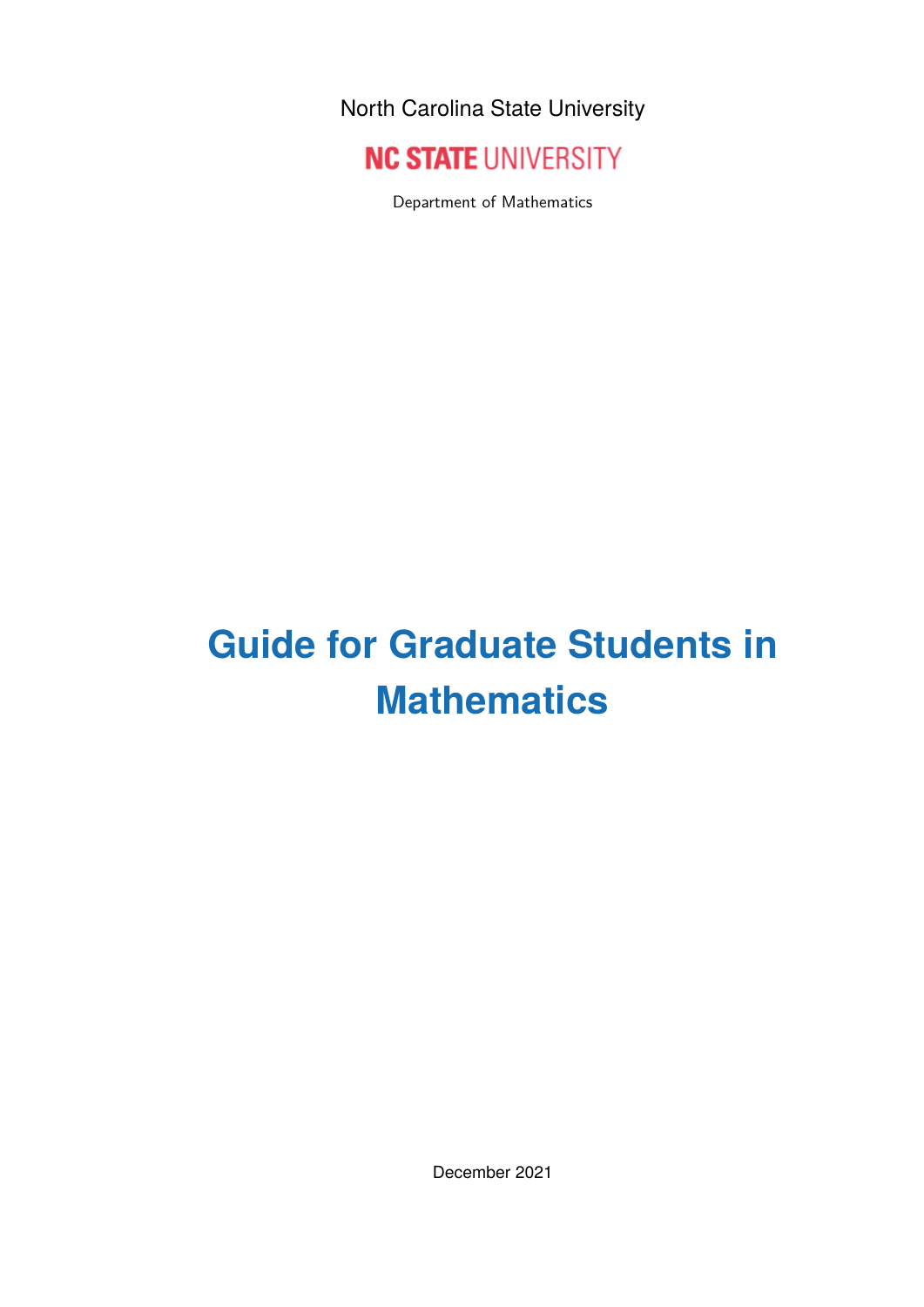North Carolina State University



Department of Mathematics

## **Guide for Graduate Students in Mathematics**

December 2021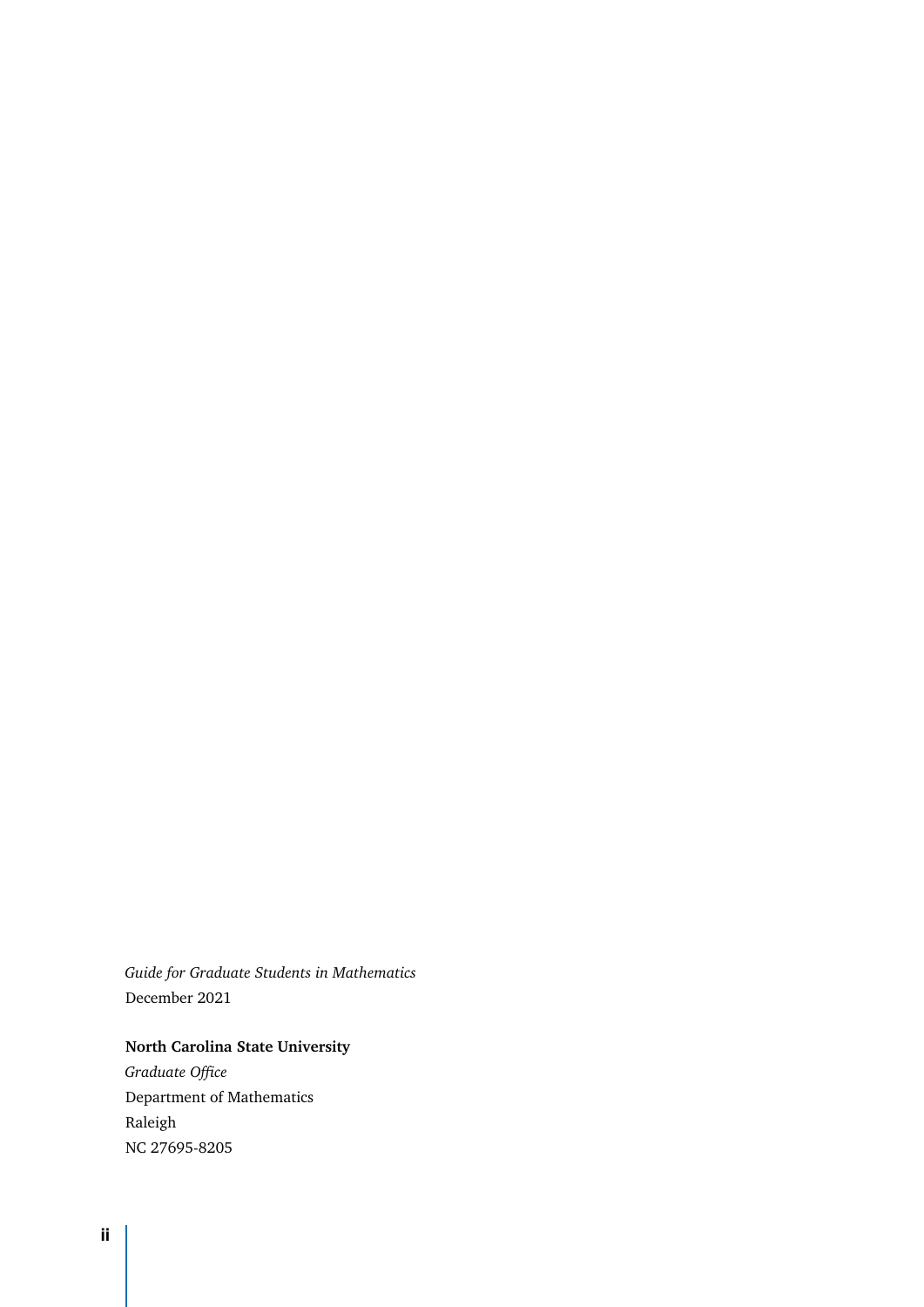*Guide for Graduate Students in Mathematics* December 2021

#### **North Carolina State University**

*Graduate Office* Department of Mathematics Raleigh NC 27695-8205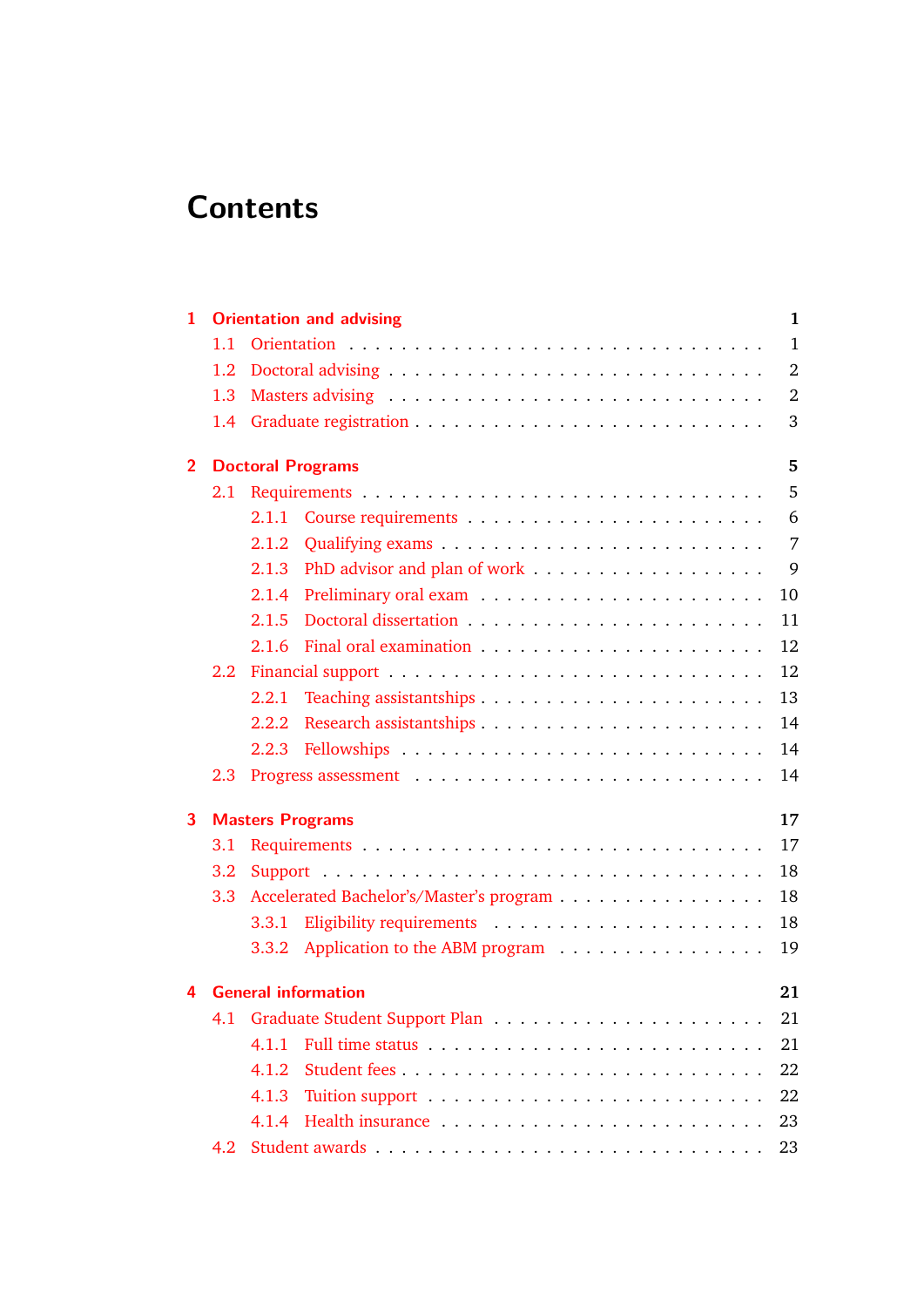## **Contents**

| 1              |               | <b>Orientation and advising</b><br>1          |
|----------------|---------------|-----------------------------------------------|
|                | 1.1           | $\mathbf{1}$                                  |
|                | $1.2\,$       | $\overline{2}$                                |
|                | 1.3           | $\overline{2}$                                |
|                | 1.4           | 3                                             |
| $\overline{2}$ |               | 5<br><b>Doctoral Programs</b>                 |
|                | 2.1           | 5                                             |
|                |               | 6<br>2.1.1                                    |
|                |               | 7<br>2.1.2                                    |
|                |               | 9<br>2.1.3                                    |
|                |               | 10<br>2.1.4                                   |
|                |               | 2.1.5<br>11                                   |
|                |               | 12<br>2.1.6                                   |
|                | $2.2^{\circ}$ | 12                                            |
|                |               | 13<br>2.2.1                                   |
|                |               | 14<br>2.2.2                                   |
|                |               | 14                                            |
|                | 2.3           | 14                                            |
| 3              |               | 17<br><b>Masters Programs</b>                 |
|                | 3.1           | 17                                            |
|                | 3.2           | 18                                            |
|                | 3.3           | 18<br>Accelerated Bachelor's/Master's program |
|                |               | 18<br>3.3.1                                   |
|                |               | 19<br>Application to the ABM program<br>3.3.2 |
| 4              |               | <b>General information</b><br>21              |
|                | 4.1           | 21                                            |
|                |               | 4.1.1<br>21                                   |
|                |               | 22<br>4.1.2                                   |
|                |               | 22<br>4.1.3                                   |
|                |               | 4.1.4<br>23                                   |
|                | 4.2           | 23                                            |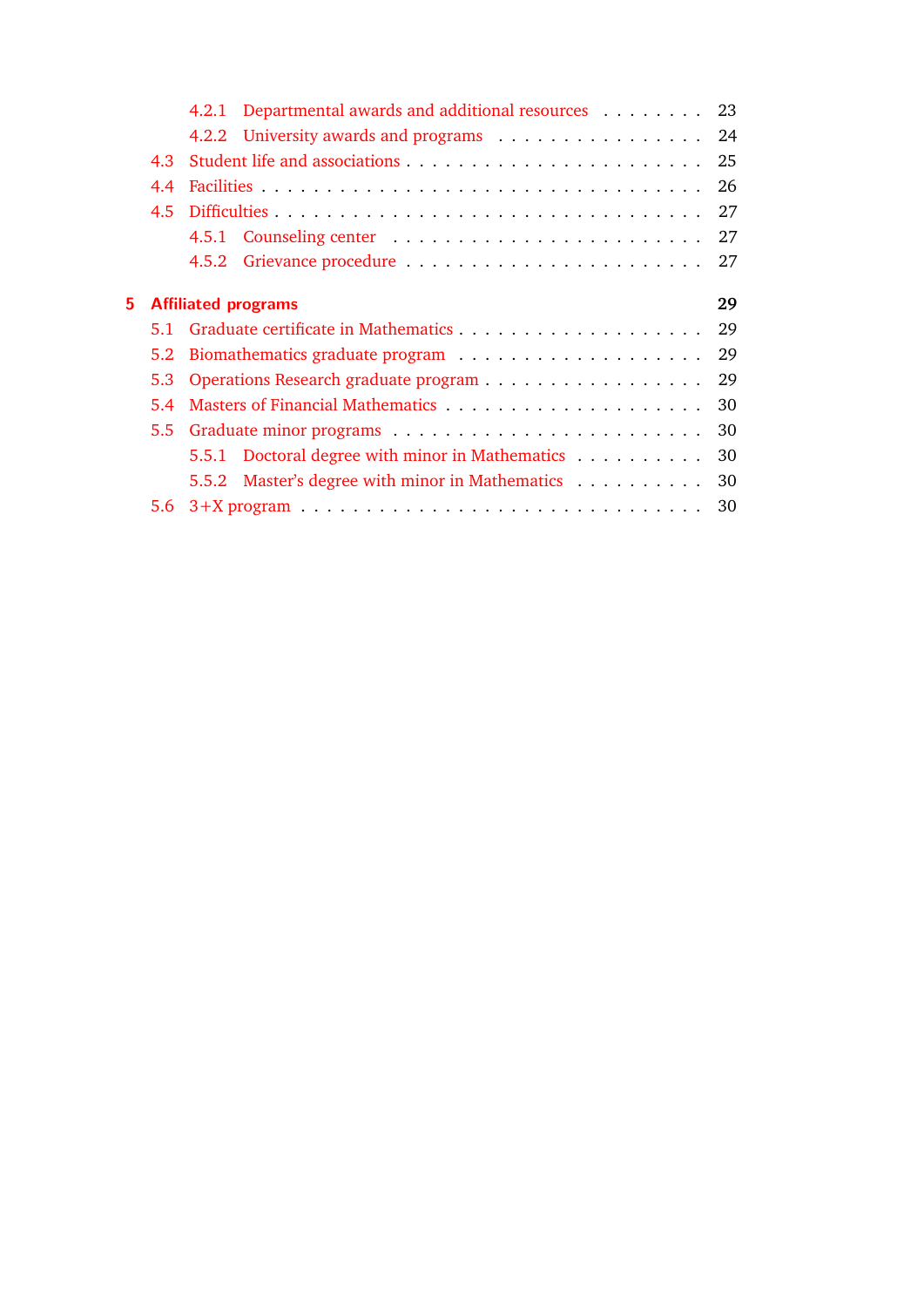|    |     | 4.2.1 Departmental awards and additional resources 23 |    |  |  |  |  |
|----|-----|-------------------------------------------------------|----|--|--|--|--|
|    |     | 4.2.2 University awards and programs 24               |    |  |  |  |  |
|    | 4.3 |                                                       |    |  |  |  |  |
|    | 4.4 |                                                       |    |  |  |  |  |
|    | 4.5 |                                                       |    |  |  |  |  |
|    |     |                                                       |    |  |  |  |  |
|    |     |                                                       |    |  |  |  |  |
| 5. |     | <b>Affiliated programs</b>                            | 29 |  |  |  |  |
|    |     |                                                       |    |  |  |  |  |
|    | 5.2 |                                                       |    |  |  |  |  |
|    | 5.3 | 29                                                    |    |  |  |  |  |
|    | 5.4 | 30                                                    |    |  |  |  |  |
|    |     |                                                       |    |  |  |  |  |
|    |     | 5.5.1 Doctoral degree with minor in Mathematics       | 30 |  |  |  |  |
|    |     | 5.5.2 Master's degree with minor in Mathematics 30    |    |  |  |  |  |
|    | 5.6 |                                                       |    |  |  |  |  |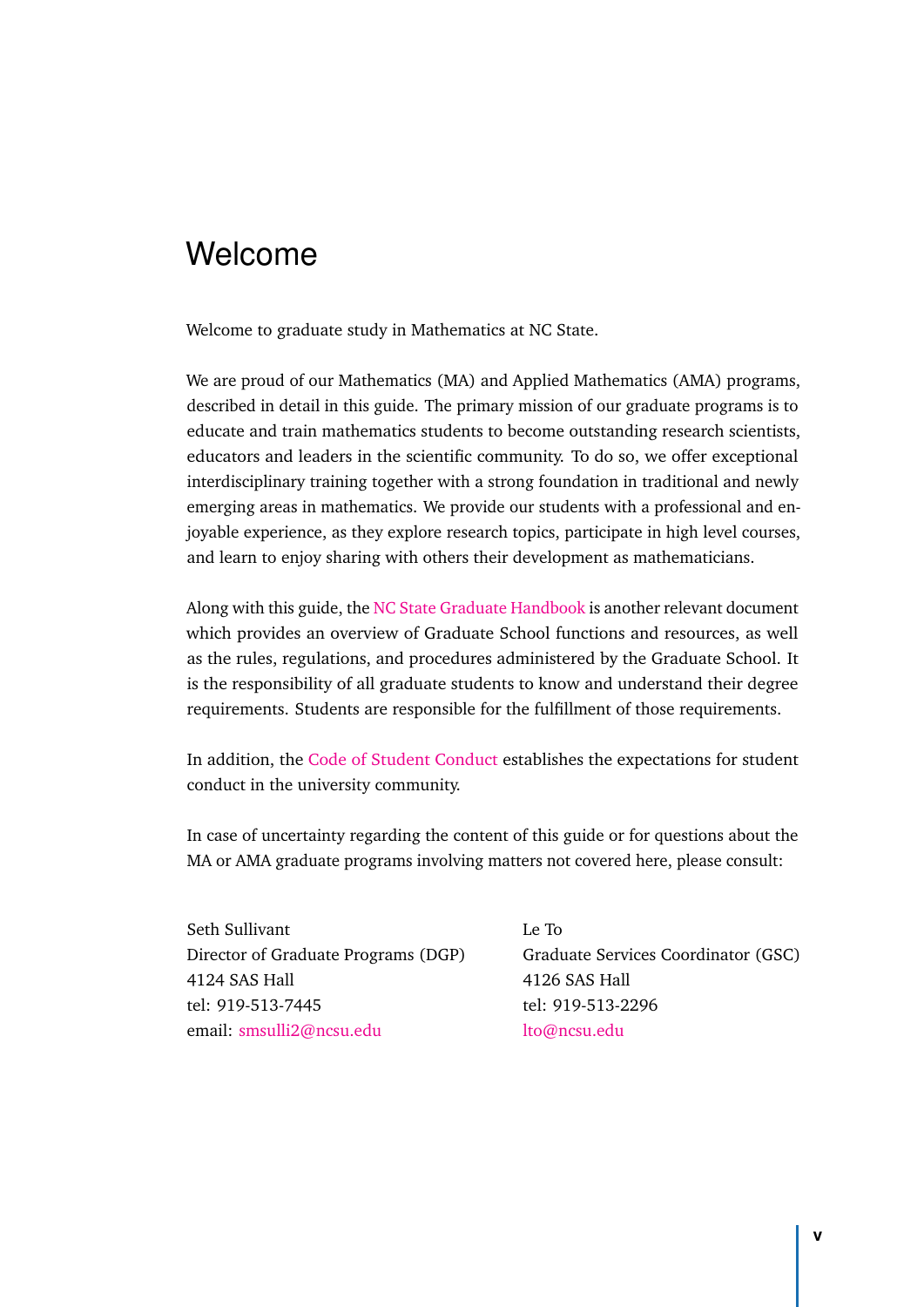## Welcome

Welcome to graduate study in Mathematics at NC State.

We are proud of our Mathematics (MA) and Applied Mathematics (AMA) programs, described in detail in this guide. The primary mission of our graduate programs is to educate and train mathematics students to become outstanding research scientists, educators and leaders in the scientific community. To do so, we offer exceptional interdisciplinary training together with a strong foundation in traditional and newly emerging areas in mathematics. We provide our students with a professional and enjoyable experience, as they explore research topics, participate in high level courses, and learn to enjoy sharing with others their development as mathematicians.

Along with this guide, the [NC State Graduate Handbook](https://grad.ncsu.edu/students/rules-and-regulations/handbook/) is another relevant document which provides an overview of Graduate School functions and resources, as well as the rules, regulations, and procedures administered by the Graduate School. It is the responsibility of all graduate students to know and understand their degree requirements. Students are responsible for the fulfillment of those requirements.

In addition, the [Code of Student Conduct](https://policies.ncsu.edu/policy/pol-11-35-01/) establishes the expectations for student conduct in the university community.

In case of uncertainty regarding the content of this guide or for questions about the MA or AMA graduate programs involving matters not covered here, please consult:

Seth Sullivant Le To 4124 SAS Hall 4126 SAS Hall tel: 919-513-7445 tel: 919-513-2296 email: [smsulli2@ncsu.edu](mailto:smsulli2@ncsu.edu) [lto@ncsu.edu](mailto:lto@ncsu.edu)

Director of Graduate Programs (DGP) Graduate Services Coordinator (GSC)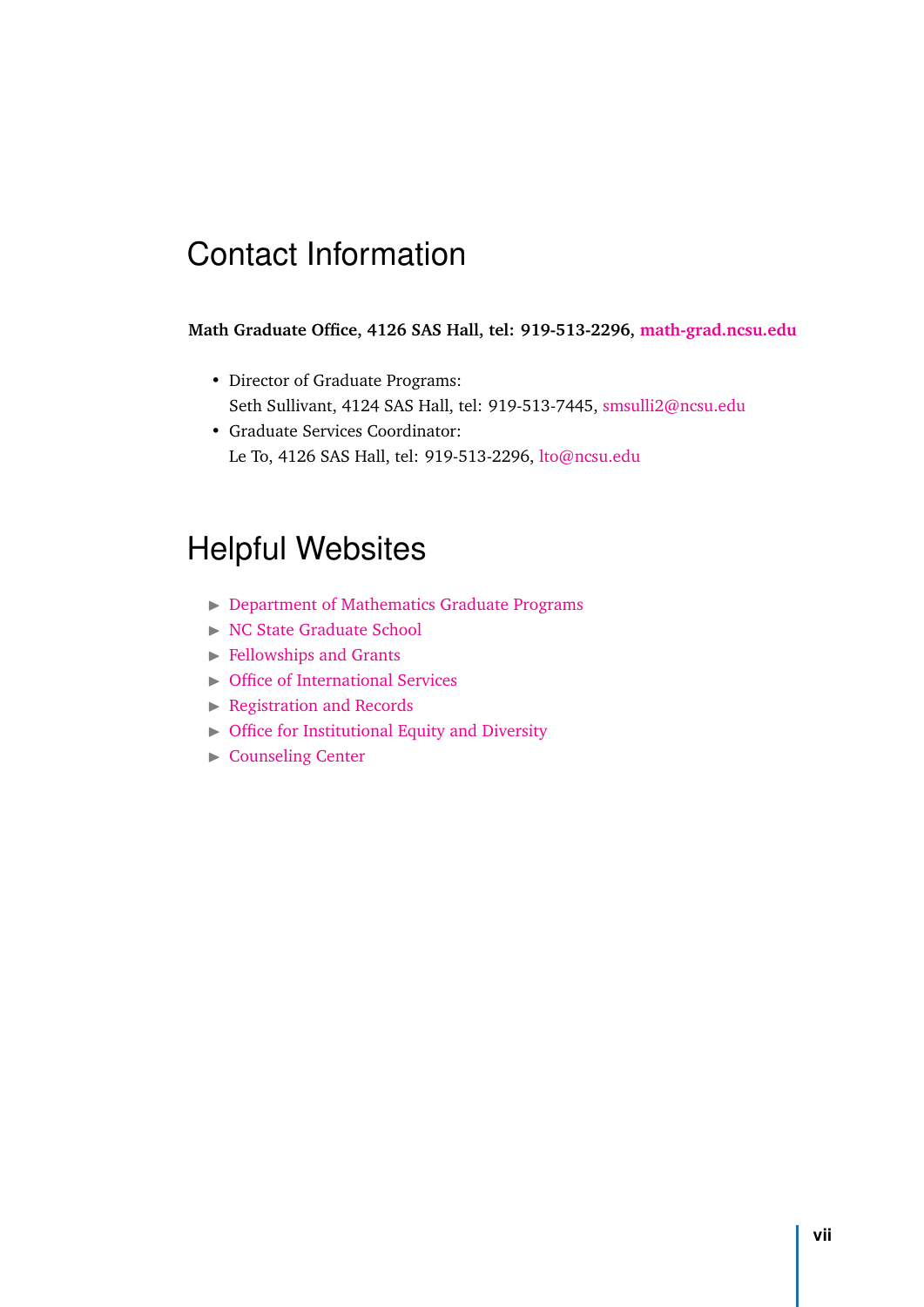## Contact Information

#### **Math Graduate Office, 4126 SAS Hall, tel: 919-513-2296, [math-grad.ncsu.edu](mailto: math-grad@ncsu.edu)**

- Director of Graduate Programs: Seth Sullivant, 4124 SAS Hall, tel: 919-513-7445, [smsulli2@ncsu.edu](mailto: smsulli2@ncsu.edu)
- Graduate Services Coordinator: Le To, 4126 SAS Hall, tel: 919-513-2296, [lto@ncsu.edu](mailto: lto@ncsu.edu)

## Helpful Websites

- $\triangleright$  [Department of Mathematics Graduate Programs](http://math.sciences.ncsu.edu/graduate/)
- $\triangleright$  [NC State Graduate School](http://grad.ncsu.edu)
- $\blacktriangleright$  [Fellowships and Grants](https://grad.ncsu.edu/students/fellowships-and-grants/)
- **International Services**
- $\blacktriangleright$  [Registration and Records](https://registrar.ncsu.edu)
- $\triangleright$  [Office for Institutional Equity and Diversity](https://oied.ncsu.edu/divweb/)
- $\triangleright$  [Counseling Center](https://counseling.dasa.ncsu.edu)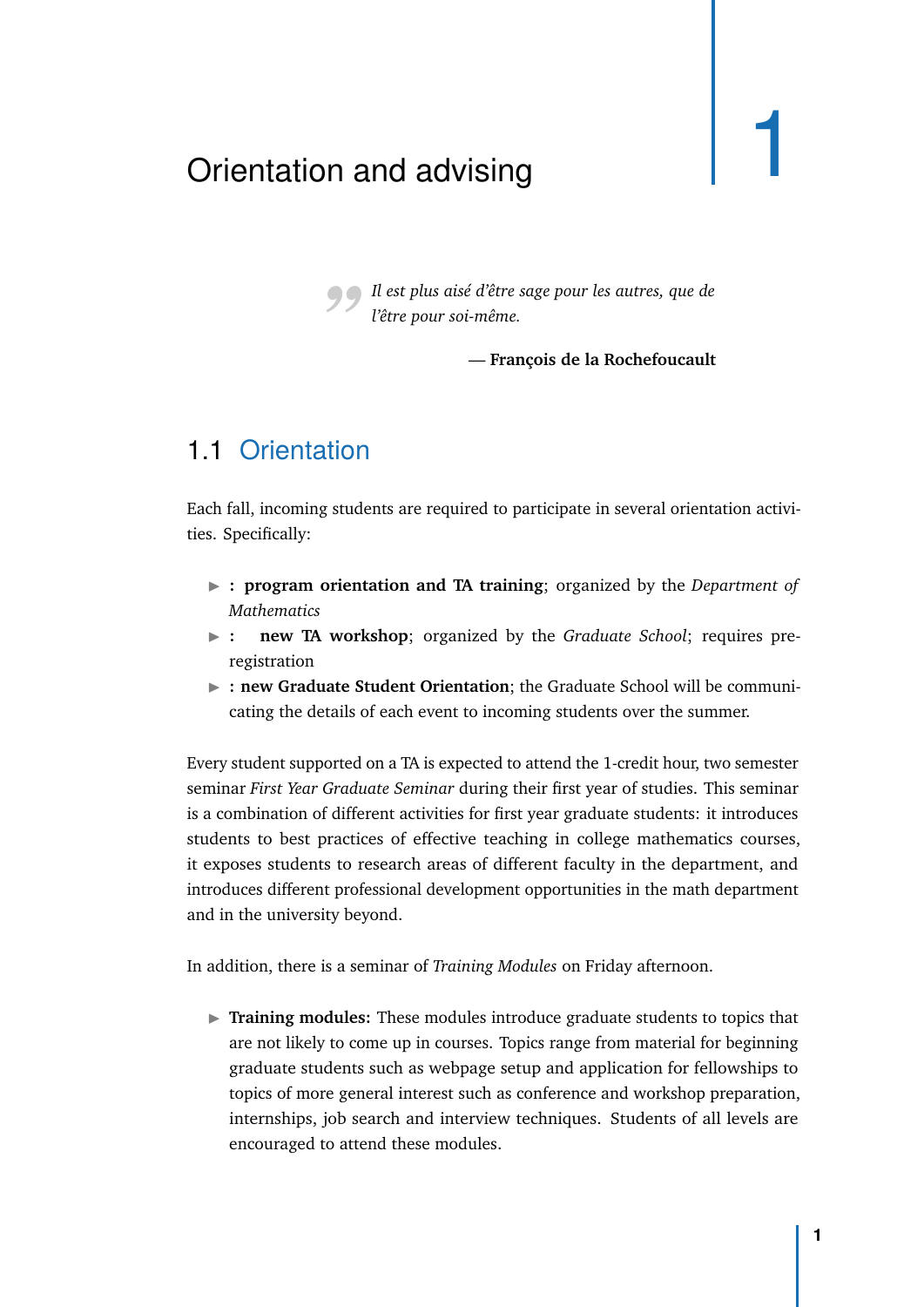## <span id="page-8-0"></span>Orientation and advising 1

*"Il est plus aisé d'être sage pour les autres, que de l'être pour soi-même.*

— **François de la Rochefoucault**

#### 1.1 Orientation

<span id="page-8-1"></span>Each fall, incoming students are required to participate in several orientation activities. Specifically:

- I **: program orientation and TA training**; organized by the *Department of Mathematics*
- **Example 21 is new TA workshop**; organized by the *Graduate School*; requires preregistration
- **External 1 + 10 Student Student Orientation**; the Graduate School will be communicating the details of each event to incoming students over the summer.

Every student supported on a TA is expected to attend the 1-credit hour, two semester seminar *First Year Graduate Seminar* during their first year of studies. This seminar is a combination of different activities for first year graduate students: it introduces students to best practices of effective teaching in college mathematics courses, it exposes students to research areas of different faculty in the department, and introduces different professional development opportunities in the math department and in the university beyond.

In addition, there is a seminar of *Training Modules* on Friday afternoon.

**Training modules:** These modules introduce graduate students to topics that are not likely to come up in courses. Topics range from material for beginning graduate students such as webpage setup and application for fellowships to topics of more general interest such as conference and workshop preparation, internships, job search and interview techniques. Students of all levels are encouraged to attend these modules.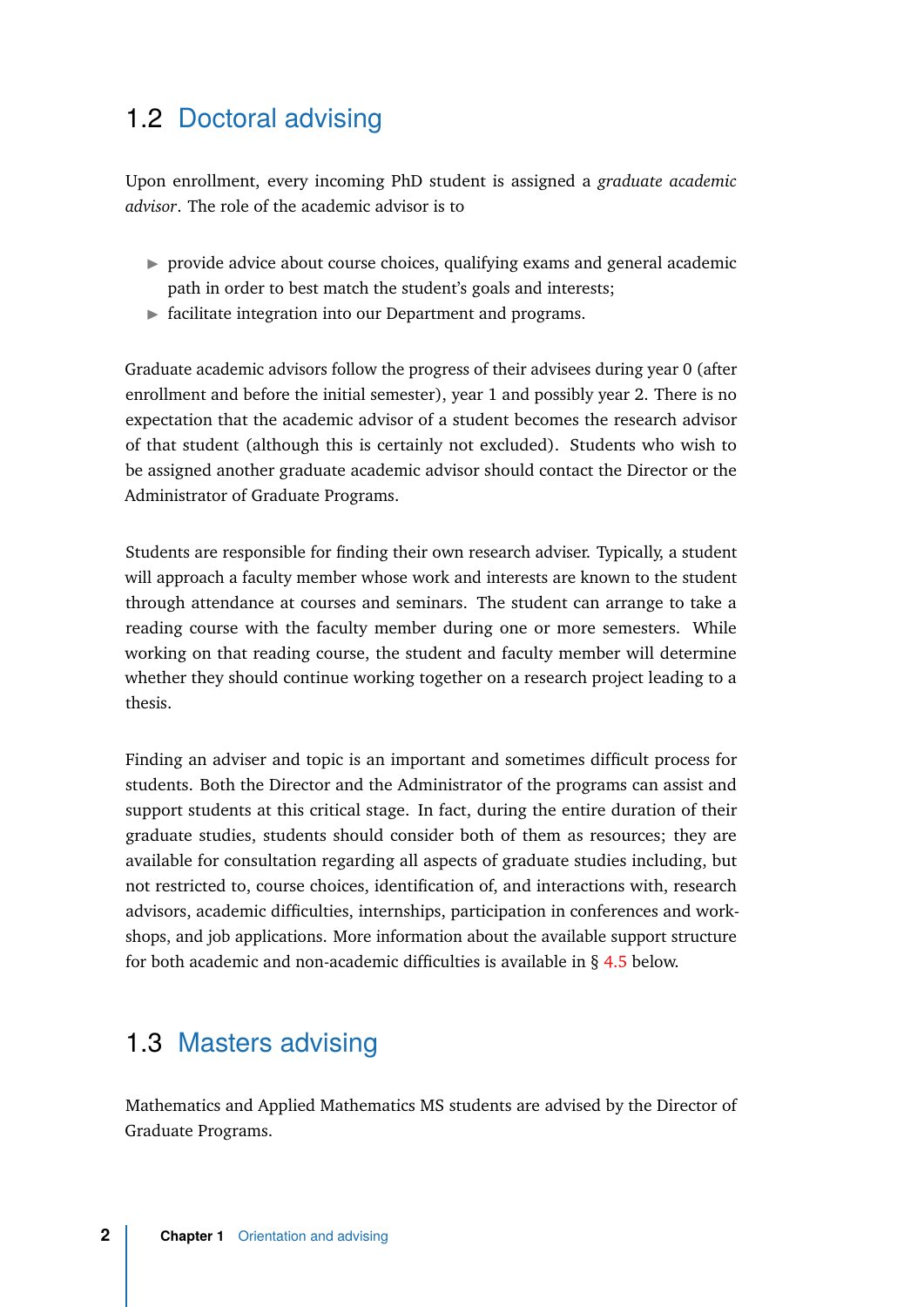## <span id="page-9-0"></span>1.2 Doctoral advising

Upon enrollment, every incoming PhD student is assigned a *graduate academic advisor*. The role of the academic advisor is to

- $\triangleright$  provide advice about course choices, qualifying exams and general academic path in order to best match the student's goals and interests;
- $\blacktriangleright$  facilitate integration into our Department and programs.

Graduate academic advisors follow the progress of their advisees during year 0 (after enrollment and before the initial semester), year 1 and possibly year 2. There is no expectation that the academic advisor of a student becomes the research advisor of that student (although this is certainly not excluded). Students who wish to be assigned another graduate academic advisor should contact the Director or the Administrator of Graduate Programs.

Students are responsible for finding their own research adviser. Typically, a student will approach a faculty member whose work and interests are known to the student through attendance at courses and seminars. The student can arrange to take a reading course with the faculty member during one or more semesters. While working on that reading course, the student and faculty member will determine whether they should continue working together on a research project leading to a thesis.

Finding an adviser and topic is an important and sometimes difficult process for students. Both the Director and the Administrator of the programs can assist and support students at this critical stage. In fact, during the entire duration of their graduate studies, students should consider both of them as resources; they are available for consultation regarding all aspects of graduate studies including, but not restricted to, course choices, identification of, and interactions with, research advisors, academic difficulties, internships, participation in conferences and workshops, and job applications. More information about the available support structure for both academic and non-academic difficulties is available in § [4.5](#page-34-0) below.

#### <span id="page-9-1"></span>1.3 Masters advising

Mathematics and Applied Mathematics MS students are advised by the Director of Graduate Programs.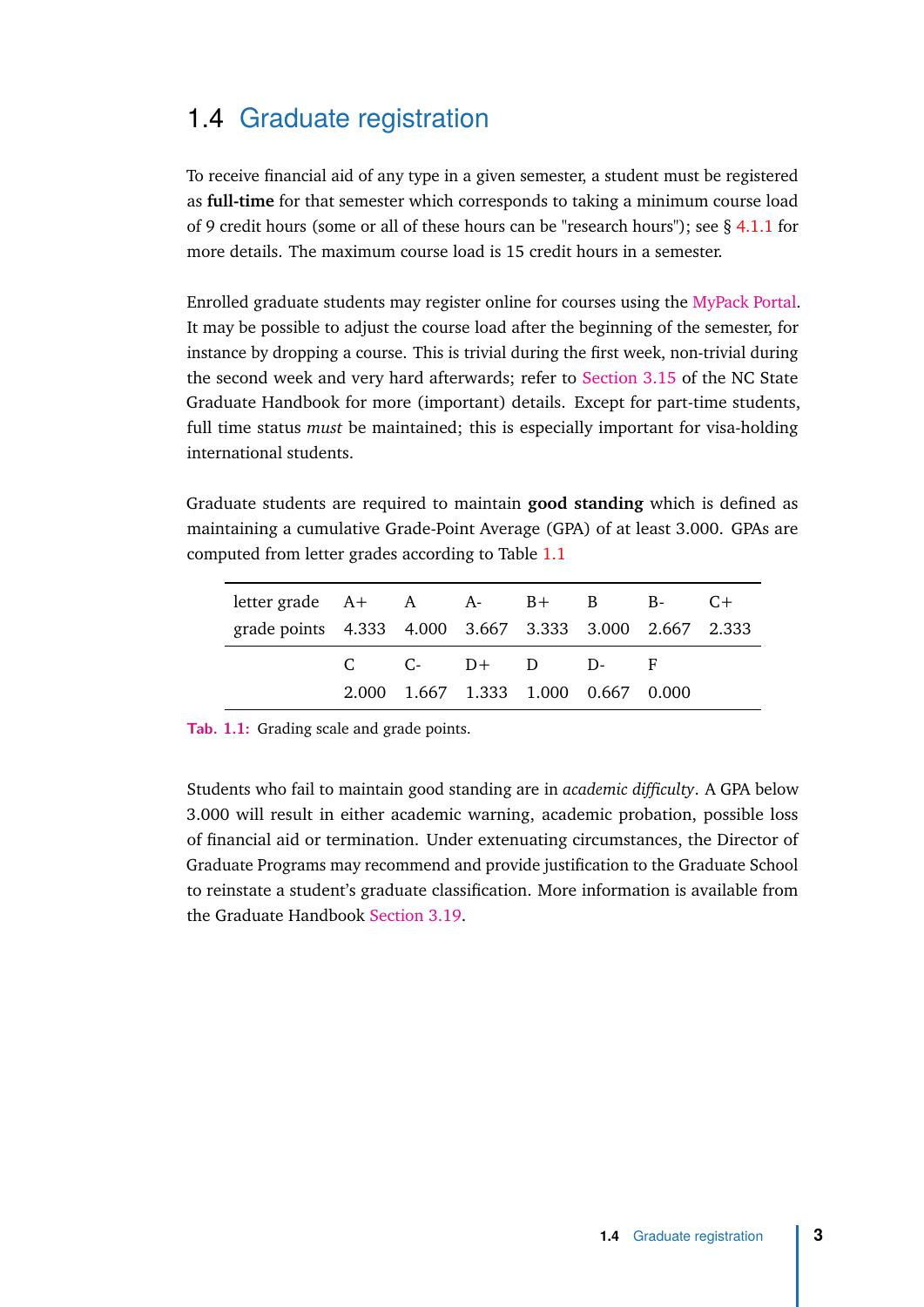## 1.4 Graduate registration

<span id="page-10-0"></span>To receive financial aid of any type in a given semester, a student must be registered as **full-time** for that semester which corresponds to taking a minimum course load of 9 credit hours (some or all of these hours can be "research hours"); see § [4.1.1](#page-28-2) for more details. The maximum course load is 15 credit hours in a semester.

Enrolled graduate students may register online for courses using the [MyPack Portal.](https://portalsp.acs.ncsu.edu) It may be possible to adjust the course load after the beginning of the semester, for instance by dropping a course. This is trivial during the first week, non-trivial during the second week and very hard afterwards; refer to [Section 3.15](https://grad.ncsu.edu/students/rules-and-regulations/handbook/3-15-course-registration/) of the NC State Graduate Handbook for more (important) details. Except for part-time students, full time status *must* be maintained; this is especially important for visa-holding international students.

Graduate students are required to maintain **good standing** which is defined as maintaining a cumulative Grade-Point Average (GPA) of at least 3.000. GPAs are computed from letter grades according to Table [1.1](#page-10-1)

<span id="page-10-1"></span>

| letter grade $A + A$ $A - B + B$ $B - C +$             |  |  |                                     |  |
|--------------------------------------------------------|--|--|-------------------------------------|--|
| grade points 4.333 4.000 3.667 3.333 3.000 2.667 2.333 |  |  |                                     |  |
|                                                        |  |  | $C$ $C$ - $D+$ $D$ $D$ - F          |  |
|                                                        |  |  | 2.000 1.667 1.333 1.000 0.667 0.000 |  |

**Tab. 1.1:** Grading scale and grade points.

Students who fail to maintain good standing are in *academic difficulty*. A GPA below 3.000 will result in either academic warning, academic probation, possible loss of financial aid or termination. Under extenuating circumstances, the Director of Graduate Programs may recommend and provide justification to the Graduate School to reinstate a student's graduate classification. More information is available from the Graduate Handbook [Section 3.19.](https://grad.ncsu.edu/students/rules-and-regulations/handbook/3-19-academic-difficulty/)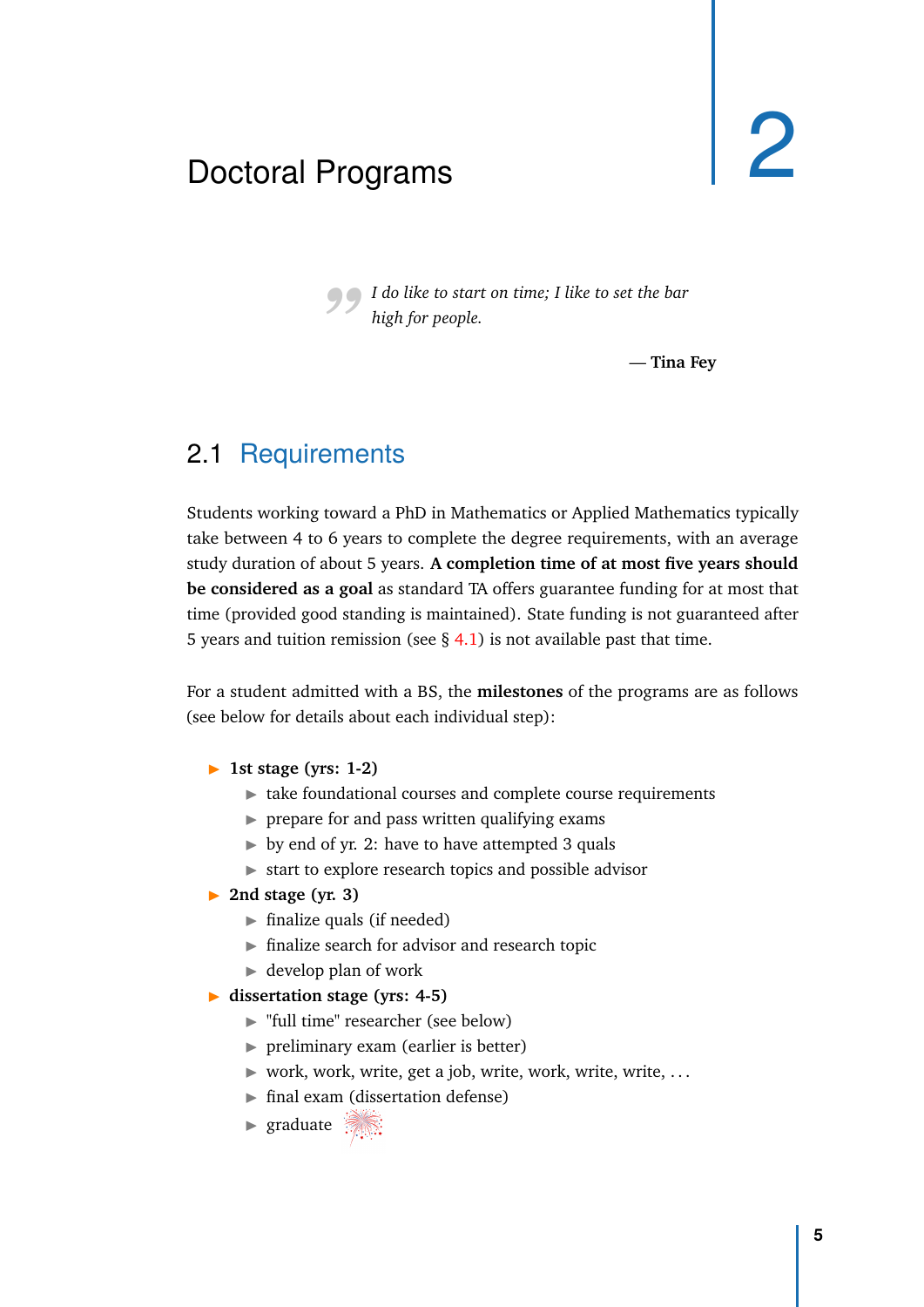# <span id="page-12-0"></span>Doctoral Programs

*"I do like to start on time; I like to set the bar high for people.*

— **Tina Fey**

## 2.1 Requirements

<span id="page-12-1"></span>Students working toward a PhD in Mathematics or Applied Mathematics typically take between 4 to 6 years to complete the degree requirements, with an average study duration of about 5 years. **A completion time of at most five years should be considered as a goal** as standard TA offers guarantee funding for at most that time (provided good standing is maintained). State funding is not guaranteed after 5 years and tuition remission (see  $\S$  [4.1\)](#page-28-1) is not available past that time.

For a student admitted with a BS, the **milestones** of the programs are as follows (see below for details about each individual step):

- **1st stage (yrs: 1-2)** 
	- $\blacktriangleright$  take foundational courses and complete course requirements
	- $\triangleright$  prepare for and pass written qualifying exams
	- $\triangleright$  by end of yr. 2: have to have attempted 3 quals
	- $\triangleright$  start to explore research topics and possible advisor
- ▶ 2nd stage (yr. 3)
	- $\blacktriangleright$  finalize quals (if needed)
	- $\blacktriangleright$  finalize search for advisor and research topic
	- $\blacktriangleright$  develop plan of work
- ▶ <b>dissection stage (yrs: 4-5)</b>
	- ► "full time" researcher (see below)
	- $\triangleright$  preliminary exam (earlier is better)
	- $\triangleright$  work, work, write, get a job, write, work, write, write, ...
	- $\blacktriangleright$  final exam (dissertation defense)
	- **In graduate**  $\frac{1}{2}$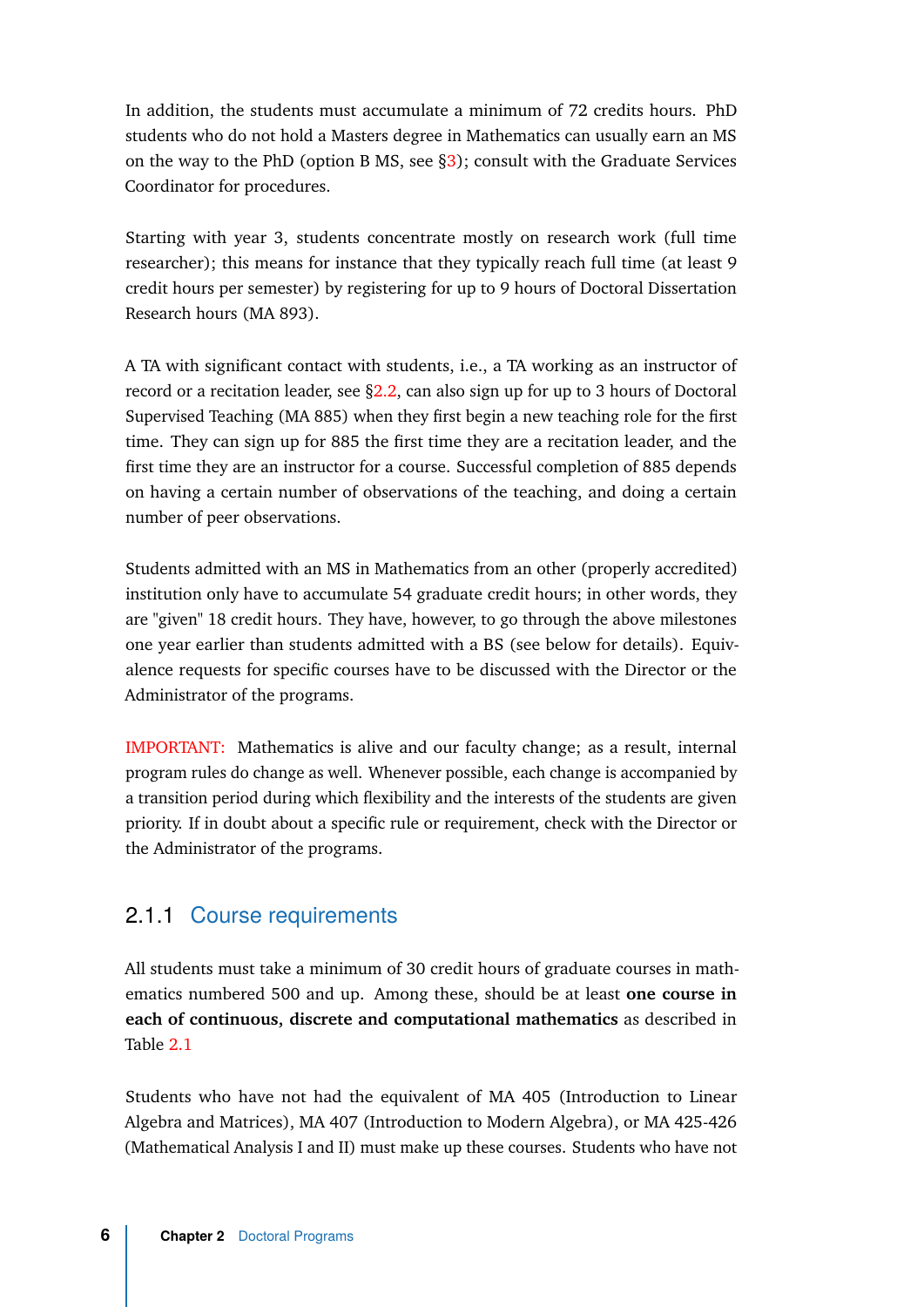In addition, the students must accumulate a minimum of 72 credits hours. PhD students who do not hold a Masters degree in Mathematics can usually earn an MS on the way to the PhD (option B MS, see [§3\)](#page-24-2); consult with the Graduate Services Coordinator for procedures.

Starting with year 3, students concentrate mostly on research work (full time researcher); this means for instance that they typically reach full time (at least 9 credit hours per semester) by registering for up to 9 hours of Doctoral Dissertation Research hours (MA 893).

A TA with significant contact with students, i.e., a TA working as an instructor of record or a recitation leader, see [§2.2,](#page-19-1) can also sign up for up to 3 hours of Doctoral Supervised Teaching (MA 885) when they first begin a new teaching role for the first time. They can sign up for 885 the first time they are a recitation leader, and the first time they are an instructor for a course. Successful completion of 885 depends on having a certain number of observations of the teaching, and doing a certain number of peer observations.

Students admitted with an MS in Mathematics from an other (properly accredited) institution only have to accumulate 54 graduate credit hours; in other words, they are "given" 18 credit hours. They have, however, to go through the above milestones one year earlier than students admitted with a BS (see below for details). Equivalence requests for specific courses have to be discussed with the Director or the Administrator of the programs.

IMPORTANT: Mathematics is alive and our faculty change; as a result, internal program rules do change as well. Whenever possible, each change is accompanied by a transition period during which flexibility and the interests of the students are given priority. If in doubt about a specific rule or requirement, check with the Director or the Administrator of the programs.

#### <span id="page-13-0"></span>2.1.1 Course requirements

All students must take a minimum of 30 credit hours of graduate courses in mathematics numbered 500 and up. Among these, should be at least **one course in each of continuous, discrete and computational mathematics** as described in Table [2.1](#page-14-1)

Students who have not had the equivalent of MA 405 (Introduction to Linear Algebra and Matrices), MA 407 (Introduction to Modern Algebra), or MA 425-426 (Mathematical Analysis I and II) must make up these courses. Students who have not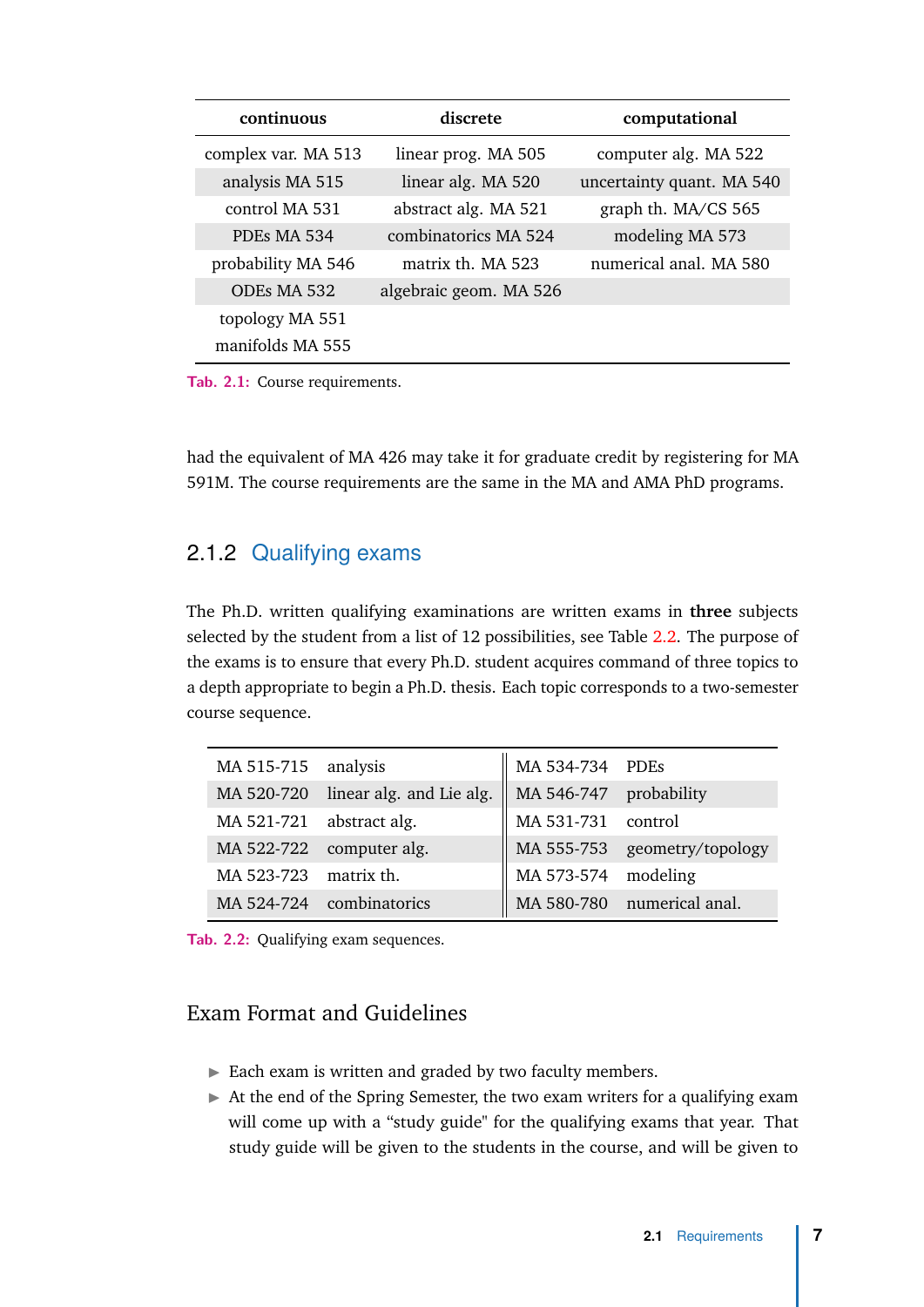<span id="page-14-1"></span>

| continuous          | discrete               | computational             |  |
|---------------------|------------------------|---------------------------|--|
| complex var. MA 513 | linear prog. MA 505    | computer alg. MA 522      |  |
| analysis MA 515     | linear alg. MA 520     | uncertainty quant. MA 540 |  |
| control MA 531      | abstract alg. MA 521   | graph th. MA/CS 565       |  |
| PDEs MA 534         | combinatorics MA 524   | modeling MA 573           |  |
| probability MA 546  | matrix th. MA 523      | numerical anal. MA 580    |  |
| ODEs MA 532         | algebraic geom. MA 526 |                           |  |
| topology MA 551     |                        |                           |  |
| manifolds MA 555    |                        |                           |  |

**Tab. 2.1:** Course requirements.

had the equivalent of MA 426 may take it for graduate credit by registering for MA 591M. The course requirements are the same in the MA and AMA PhD programs.

#### <span id="page-14-0"></span>2.1.2 Qualifying exams

The Ph.D. written qualifying examinations are written exams in **three** subjects selected by the student from a list of 12 possibilities, see Table [2.2.](#page-14-2) The purpose of the exams is to ensure that every Ph.D. student acquires command of three topics to a depth appropriate to begin a Ph.D. thesis. Each topic corresponds to a two-semester course sequence.

<span id="page-14-2"></span>

| MA 515-715 analysis      |                                     | $\parallel$ MA 534-734 PDEs |                              |
|--------------------------|-------------------------------------|-----------------------------|------------------------------|
|                          | MA 520-720 linear alg. and Lie alg. | MA 546-747 probability      |                              |
| MA 521-721 abstract alg. |                                     | MA 531-731 control          |                              |
|                          | MA 522-722 computer alg.            |                             | MA 555-753 geometry/topology |
| MA 523-723 matrix th.    |                                     | MA 573-574 modeling         |                              |
|                          | MA 524-724 combinatorics            |                             | MA 580-780 numerical anal.   |

**Tab. 2.2:** Qualifying exam sequences.

#### Exam Format and Guidelines

- $\blacktriangleright$  Each exam is written and graded by two faculty members.
- $\blacktriangleright$  At the end of the Spring Semester, the two exam writers for a qualifying exam will come up with a "study guide" for the qualifying exams that year. That study guide will be given to the students in the course, and will be given to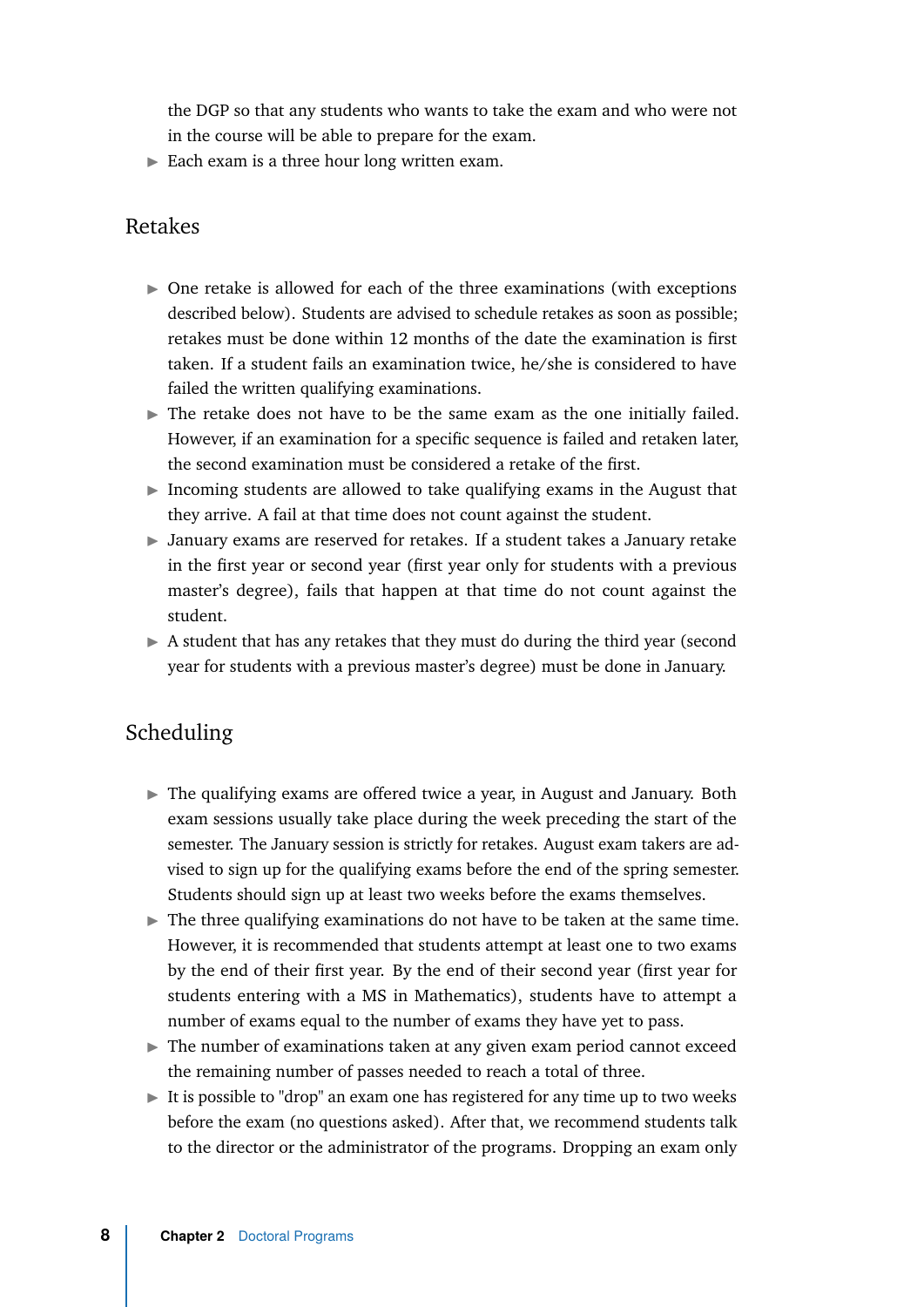the DGP so that any students who wants to take the exam and who were not in the course will be able to prepare for the exam.

 $\blacktriangleright$  Each exam is a three hour long written exam.

#### Retakes

- $\triangleright$  One retake is allowed for each of the three examinations (with exceptions described below). Students are advised to schedule retakes as soon as possible; retakes must be done within 12 months of the date the examination is first taken. If a student fails an examination twice, he/she is considered to have failed the written qualifying examinations.
- $\blacktriangleright$  The retake does not have to be the same exam as the one initially failed. However, if an examination for a specific sequence is failed and retaken later, the second examination must be considered a retake of the first.
- Incoming students are allowed to take qualifying exams in the August that they arrive. A fail at that time does not count against the student.
- $\triangleright$  January exams are reserved for retakes. If a student takes a January retake in the first year or second year (first year only for students with a previous master's degree), fails that happen at that time do not count against the student.
- $\blacktriangleright$  A student that has any retakes that they must do during the third year (second year for students with a previous master's degree) must be done in January.

#### Scheduling

- $\triangleright$  The qualifying exams are offered twice a year, in August and January. Both exam sessions usually take place during the week preceding the start of the semester. The January session is strictly for retakes. August exam takers are advised to sign up for the qualifying exams before the end of the spring semester. Students should sign up at least two weeks before the exams themselves.
- $\blacktriangleright$  The three qualifying examinations do not have to be taken at the same time. However, it is recommended that students attempt at least one to two exams by the end of their first year. By the end of their second year (first year for students entering with a MS in Mathematics), students have to attempt a number of exams equal to the number of exams they have yet to pass.
- $\blacktriangleright$  The number of examinations taken at any given exam period cannot exceed the remaining number of passes needed to reach a total of three.
- $\blacktriangleright$  It is possible to "drop" an exam one has registered for any time up to two weeks before the exam (no questions asked). After that, we recommend students talk to the director or the administrator of the programs. Dropping an exam only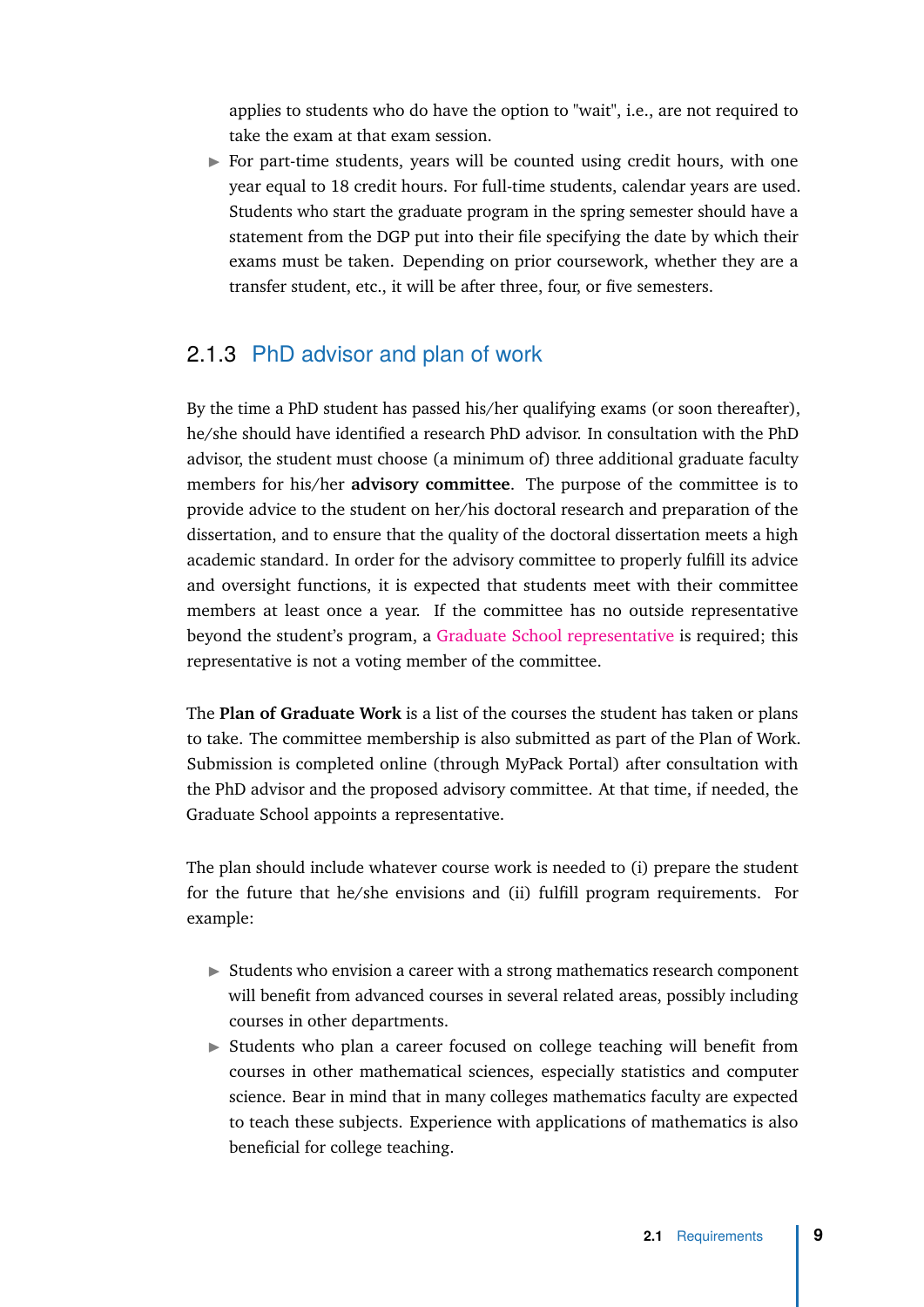applies to students who do have the option to "wait", i.e., are not required to take the exam at that exam session.

 $\triangleright$  For part-time students, years will be counted using credit hours, with one year equal to 18 credit hours. For full-time students, calendar years are used. Students who start the graduate program in the spring semester should have a statement from the DGP put into their file specifying the date by which their exams must be taken. Depending on prior coursework, whether they are a transfer student, etc., it will be after three, four, or five semesters.

#### <span id="page-16-0"></span>2.1.3 PhD advisor and plan of work

By the time a PhD student has passed his/her qualifying exams (or soon thereafter), he/she should have identified a research PhD advisor. In consultation with the PhD advisor, the student must choose (a minimum of) three additional graduate faculty members for his/her **advisory committee**. The purpose of the committee is to provide advice to the student on her/his doctoral research and preparation of the dissertation, and to ensure that the quality of the doctoral dissertation meets a high academic standard. In order for the advisory committee to properly fulfill its advice and oversight functions, it is expected that students meet with their committee members at least once a year. If the committee has no outside representative beyond the student's program, a [Graduate School representative](https://grad.ncsu.edu/students/rules-and-regulations/handbook/1-6-graduate-school-representatives/) is required; this representative is not a voting member of the committee.

The **Plan of Graduate Work** is a list of the courses the student has taken or plans to take. The committee membership is also submitted as part of the Plan of Work. Submission is completed online (through MyPack Portal) after consultation with the PhD advisor and the proposed advisory committee. At that time, if needed, the Graduate School appoints a representative.

The plan should include whatever course work is needed to (i) prepare the student for the future that he/she envisions and (ii) fulfill program requirements. For example:

- $\triangleright$  Students who envision a career with a strong mathematics research component will benefit from advanced courses in several related areas, possibly including courses in other departments.
- $\triangleright$  Students who plan a career focused on college teaching will benefit from courses in other mathematical sciences, especially statistics and computer science. Bear in mind that in many colleges mathematics faculty are expected to teach these subjects. Experience with applications of mathematics is also beneficial for college teaching.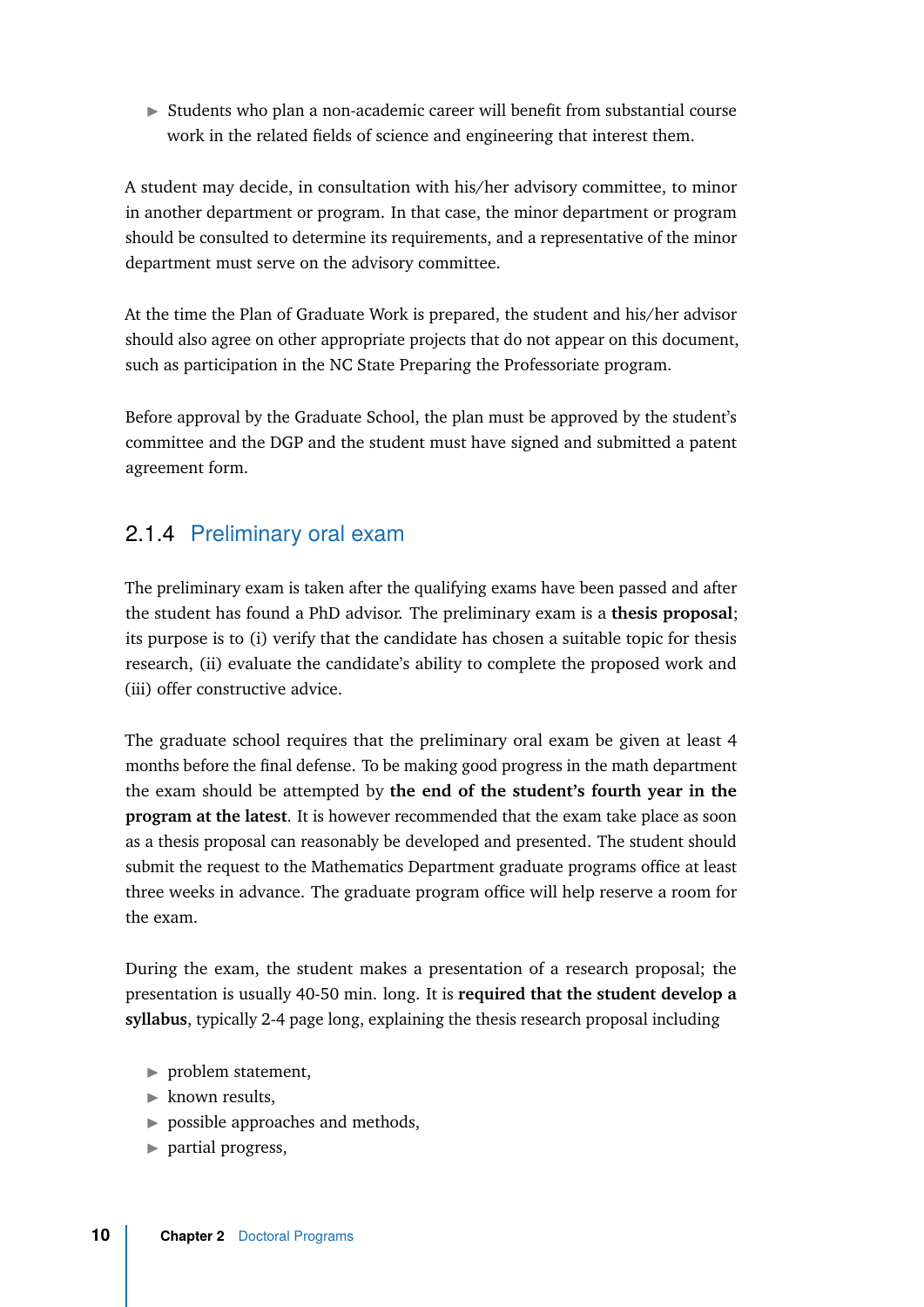$\triangleright$  Students who plan a non-academic career will benefit from substantial course work in the related fields of science and engineering that interest them.

A student may decide, in consultation with his/her advisory committee, to minor in another department or program. In that case, the minor department or program should be consulted to determine its requirements, and a representative of the minor department must serve on the advisory committee.

At the time the Plan of Graduate Work is prepared, the student and his/her advisor should also agree on other appropriate projects that do not appear on this document, such as participation in the NC State Preparing the Professoriate program.

Before approval by the Graduate School, the plan must be approved by the student's committee and the DGP and the student must have signed and submitted a patent agreement form.

#### 2.1.4 Preliminary oral exam

<span id="page-17-0"></span>The preliminary exam is taken after the qualifying exams have been passed and after the student has found a PhD advisor. The preliminary exam is a **thesis proposal**; its purpose is to (i) verify that the candidate has chosen a suitable topic for thesis research, (ii) evaluate the candidate's ability to complete the proposed work and (iii) offer constructive advice.

The graduate school requires that the preliminary oral exam be given at least 4 months before the final defense. To be making good progress in the math department the exam should be attempted by **the end of the student's fourth year in the program at the latest**. It is however recommended that the exam take place as soon as a thesis proposal can reasonably be developed and presented. The student should submit the request to the Mathematics Department graduate programs office at least three weeks in advance. The graduate program office will help reserve a room for the exam.

During the exam, the student makes a presentation of a research proposal; the presentation is usually 40-50 min. long. It is **required that the student develop a syllabus**, typically 2-4 page long, explaining the thesis research proposal including

- $\blacktriangleright$  problem statement,
- $\blacktriangleright$  known results.
- $\triangleright$  possible approaches and methods,
- $\blacktriangleright$  partial progress,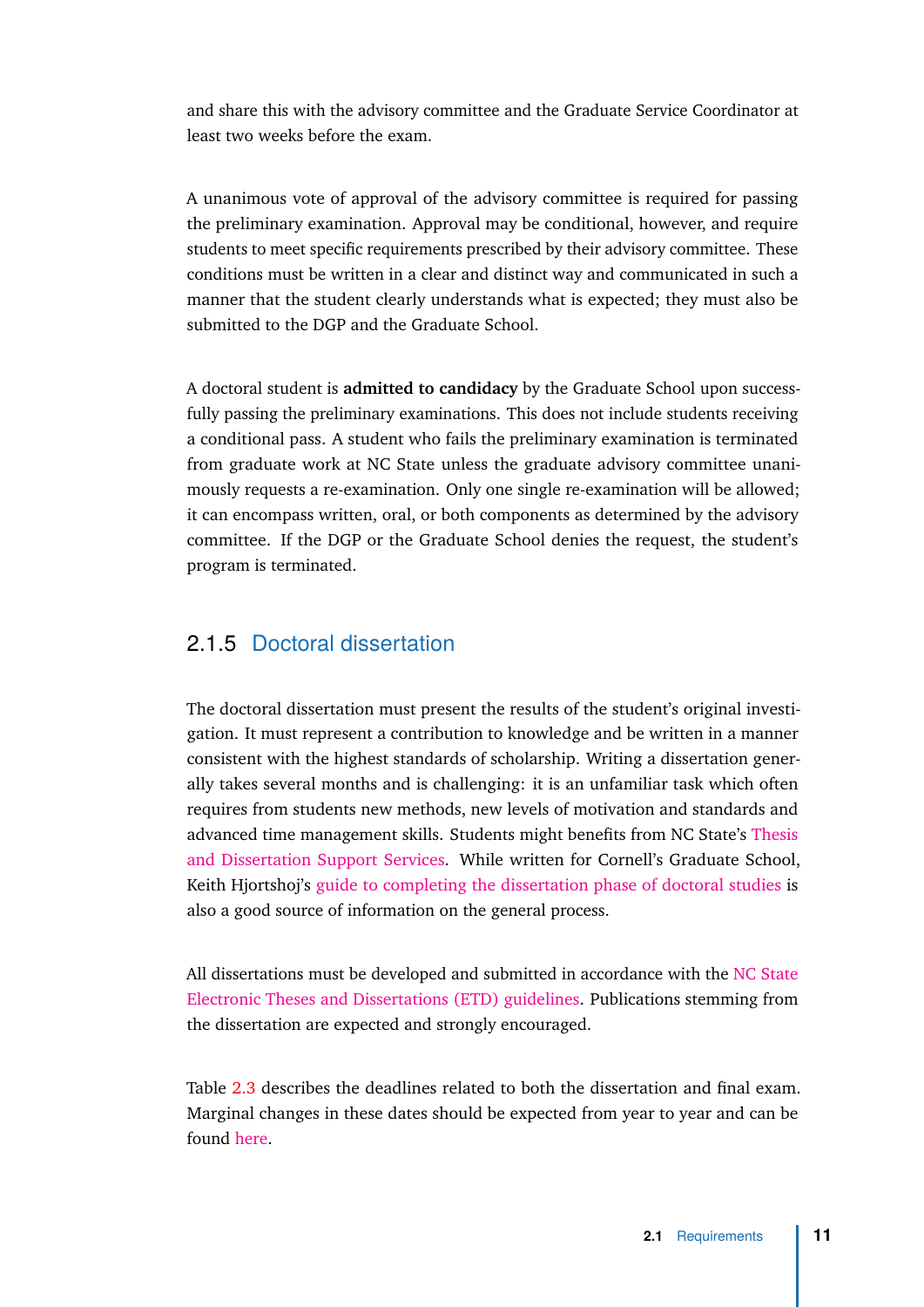and share this with the advisory committee and the Graduate Service Coordinator at least two weeks before the exam.

A unanimous vote of approval of the advisory committee is required for passing the preliminary examination. Approval may be conditional, however, and require students to meet specific requirements prescribed by their advisory committee. These conditions must be written in a clear and distinct way and communicated in such a manner that the student clearly understands what is expected; they must also be submitted to the DGP and the Graduate School.

A doctoral student is **admitted to candidacy** by the Graduate School upon successfully passing the preliminary examinations. This does not include students receiving a conditional pass. A student who fails the preliminary examination is terminated from graduate work at NC State unless the graduate advisory committee unanimously requests a re-examination. Only one single re-examination will be allowed; it can encompass written, oral, or both components as determined by the advisory committee. If the DGP or the Graduate School denies the request, the student's program is terminated.

#### <span id="page-18-0"></span>2.1.5 Doctoral dissertation

The doctoral dissertation must present the results of the student's original investigation. It must represent a contribution to knowledge and be written in a manner consistent with the highest standards of scholarship. Writing a dissertation generally takes several months and is challenging: it is an unfamiliar task which often requires from students new methods, new levels of motivation and standards and advanced time management skills. Students might benefits from NC State's [Thesis](https://grad.ncsu.edu/students/professional-development/tdss/) [and Dissertation Support Services.](https://grad.ncsu.edu/students/professional-development/tdss/) While written for Cornell's Graduate School, Keith Hjortshoj's [guide to completing the dissertation phase of doctoral studies](https://gradschool.cornell.edu/sites/gradschool.cornell.edu/files/field_file/WritingAB_WEB.pdf) is also a good source of information on the general process.

All dissertations must be developed and submitted in accordance with the [NC State](https://grad.ncsu.edu/students/etd/) [Electronic Theses and Dissertations \(ETD\) guidelines.](https://grad.ncsu.edu/students/etd/) Publications stemming from the dissertation are expected and strongly encouraged.

Table [2.3](#page-19-2) describes the deadlines related to both the dissertation and final exam. Marginal changes in these dates should be expected from year to year and can be found [here.](https://grad.ncsu.edu/students/etd/etd-deadlines/)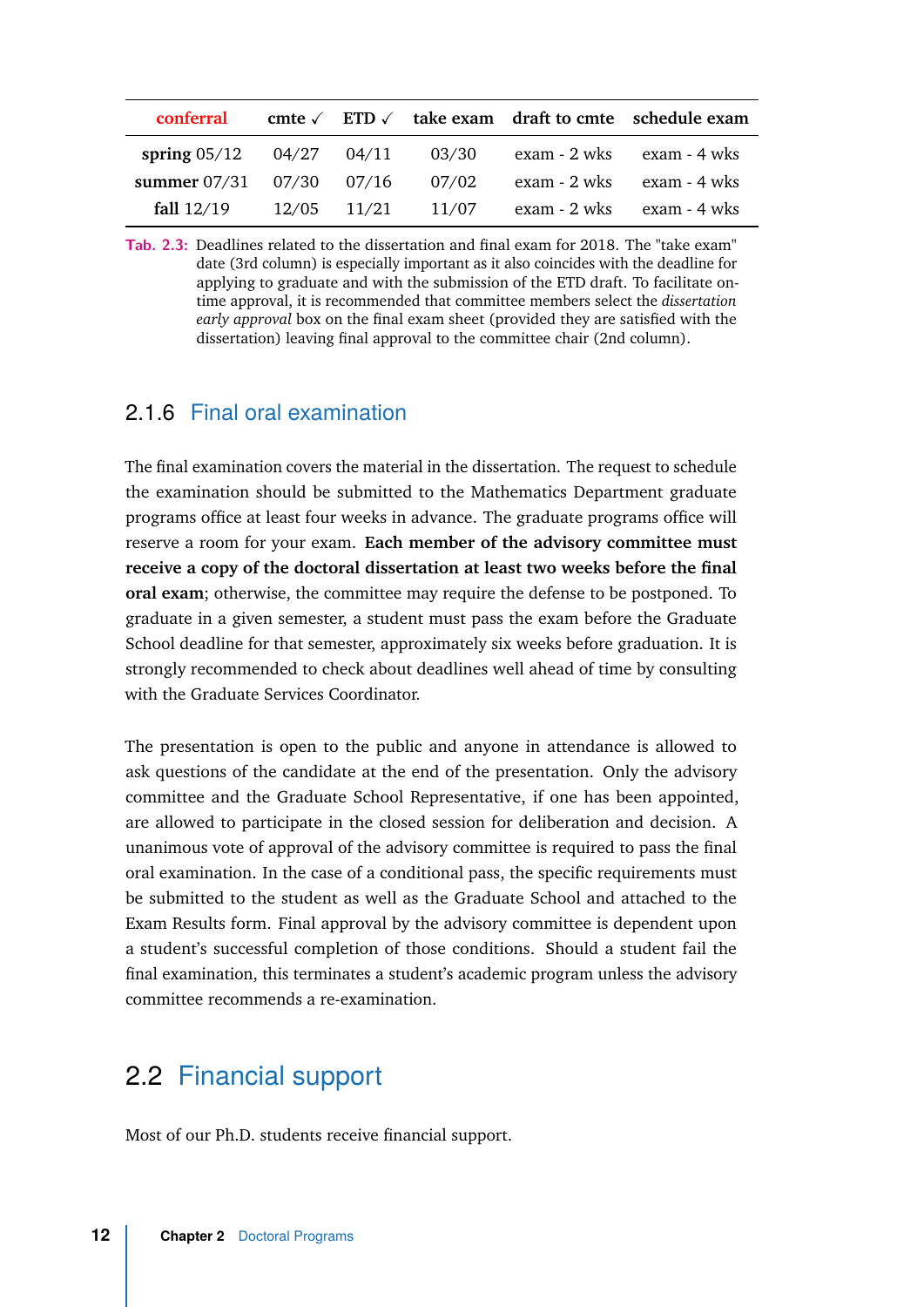<span id="page-19-2"></span>

| conferral                      |             |       |              | cmte $\sqrt{\phantom{a}}$ ETD $\sqrt{\phantom{a}}$ take exam draft to cmte schedule exam |
|--------------------------------|-------------|-------|--------------|------------------------------------------------------------------------------------------|
| spring $05/12$                 | 04/27 04/11 | 03/30 |              | exam - 2 wks exam - 4 wks                                                                |
| summer $07/31$ $07/30$ $07/16$ |             | 07/02 |              | exam - 2 wks exam - 4 wks                                                                |
| fall $12/19$                   | 12/05 11/21 | 11/07 | exam - 2 wks | exam - 4 wks                                                                             |

**Tab. 2.3:** Deadlines related to the dissertation and final exam for 2018. The "take exam" date (3rd column) is especially important as it also coincides with the deadline for applying to graduate and with the submission of the ETD draft. To facilitate ontime approval, it is recommended that committee members select the *dissertation early approval* box on the final exam sheet (provided they are satisfied with the dissertation) leaving final approval to the committee chair (2nd column).

#### <span id="page-19-0"></span>2.1.6 Final oral examination

The final examination covers the material in the dissertation. The request to schedule the examination should be submitted to the Mathematics Department graduate programs office at least four weeks in advance. The graduate programs office will reserve a room for your exam. **Each member of the advisory committee must receive a copy of the doctoral dissertation at least two weeks before the final oral exam**; otherwise, the committee may require the defense to be postponed. To graduate in a given semester, a student must pass the exam before the Graduate School deadline for that semester, approximately six weeks before graduation. It is strongly recommended to check about deadlines well ahead of time by consulting with the Graduate Services Coordinator.

The presentation is open to the public and anyone in attendance is allowed to ask questions of the candidate at the end of the presentation. Only the advisory committee and the Graduate School Representative, if one has been appointed, are allowed to participate in the closed session for deliberation and decision. A unanimous vote of approval of the advisory committee is required to pass the final oral examination. In the case of a conditional pass, the specific requirements must be submitted to the student as well as the Graduate School and attached to the Exam Results form. Final approval by the advisory committee is dependent upon a student's successful completion of those conditions. Should a student fail the final examination, this terminates a student's academic program unless the advisory committee recommends a re-examination.

### 2.2 Financial support

<span id="page-19-1"></span>Most of our Ph.D. students receive financial support.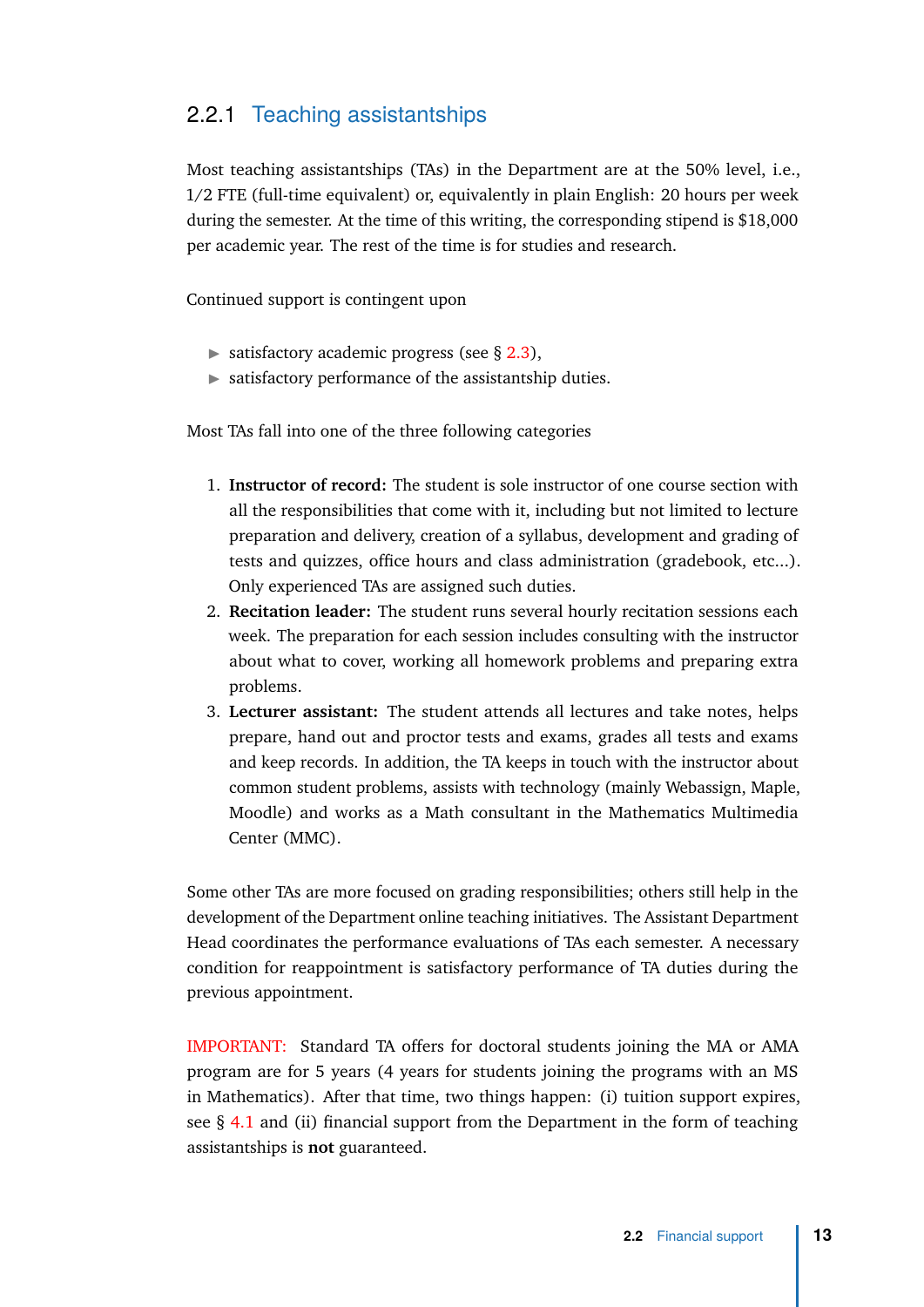#### <span id="page-20-0"></span>2.2.1 Teaching assistantships

Most teaching assistantships (TAs) in the Department are at the 50% level, i.e., 1/2 FTE (full-time equivalent) or, equivalently in plain English: 20 hours per week during the semester. At the time of this writing, the corresponding stipend is \$18,000 per academic year. The rest of the time is for studies and research.

Continued support is contingent upon

- $\triangleright$  satisfactory academic progress (see § [2.3\)](#page-21-2),
- $\triangleright$  satisfactory performance of the assistantship duties.

Most TAs fall into one of the three following categories

- 1. **Instructor of record:** The student is sole instructor of one course section with all the responsibilities that come with it, including but not limited to lecture preparation and delivery, creation of a syllabus, development and grading of tests and quizzes, office hours and class administration (gradebook, etc...). Only experienced TAs are assigned such duties.
- 2. **Recitation leader:** The student runs several hourly recitation sessions each week. The preparation for each session includes consulting with the instructor about what to cover, working all homework problems and preparing extra problems.
- 3. **Lecturer assistant:** The student attends all lectures and take notes, helps prepare, hand out and proctor tests and exams, grades all tests and exams and keep records. In addition, the TA keeps in touch with the instructor about common student problems, assists with technology (mainly Webassign, Maple, Moodle) and works as a Math consultant in the Mathematics Multimedia Center (MMC).

Some other TAs are more focused on grading responsibilities; others still help in the development of the Department online teaching initiatives. The Assistant Department Head coordinates the performance evaluations of TAs each semester. A necessary condition for reappointment is satisfactory performance of TA duties during the previous appointment.

IMPORTANT: Standard TA offers for doctoral students joining the MA or AMA program are for 5 years (4 years for students joining the programs with an MS in Mathematics). After that time, two things happen: (i) tuition support expires, see § [4.1](#page-28-1) and (ii) financial support from the Department in the form of teaching assistantships is **not** guaranteed.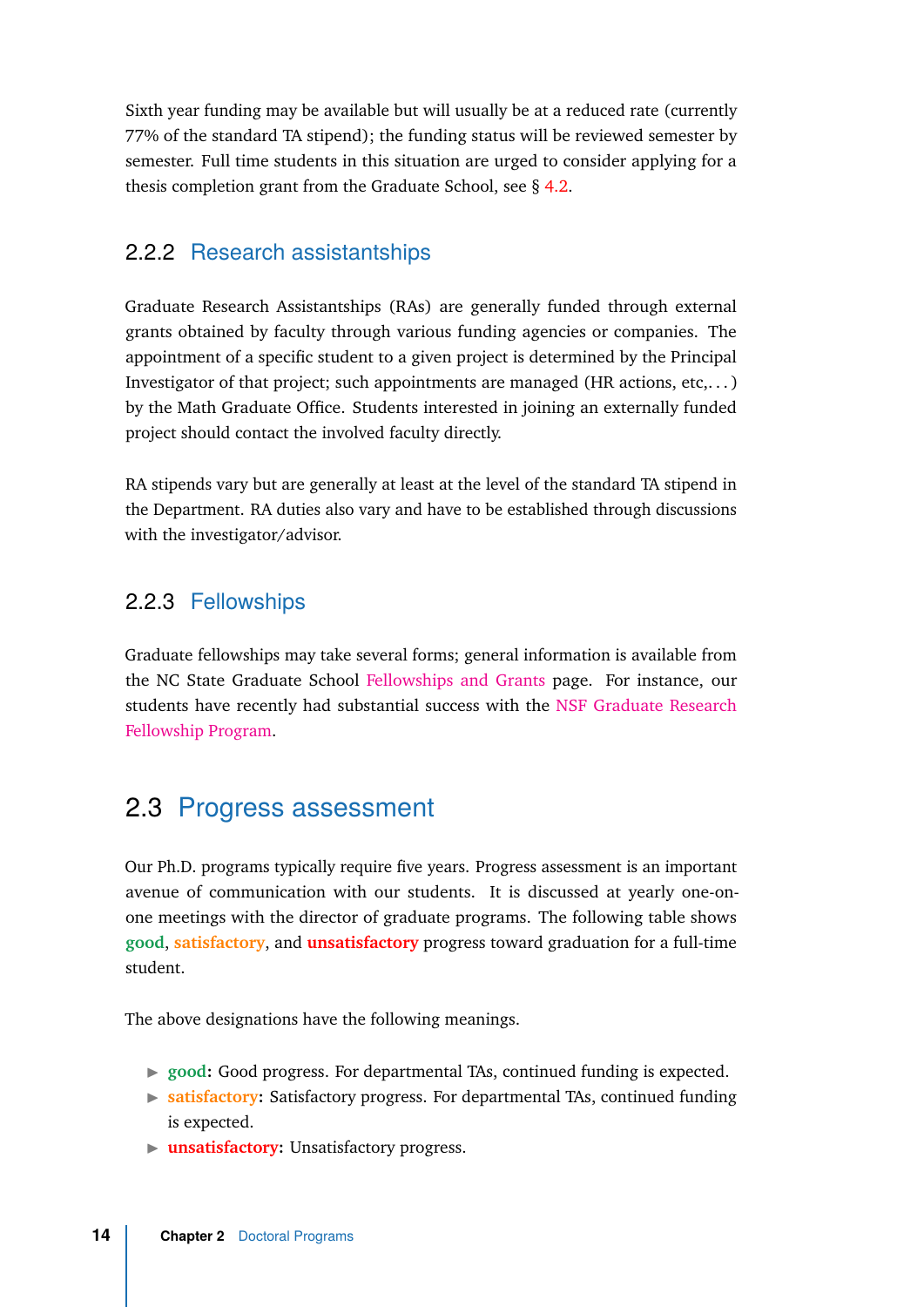Sixth year funding may be available but will usually be at a reduced rate (currently 77% of the standard TA stipend); the funding status will be reviewed semester by semester. Full time students in this situation are urged to consider applying for a thesis completion grant from the Graduate School, see § [4.2.](#page-30-1)

#### <span id="page-21-0"></span>2.2.2 Research assistantships

Graduate Research Assistantships (RAs) are generally funded through external grants obtained by faculty through various funding agencies or companies. The appointment of a specific student to a given project is determined by the Principal Investigator of that project; such appointments are managed (HR actions, etc,...) by the Math Graduate Office. Students interested in joining an externally funded project should contact the involved faculty directly.

RA stipends vary but are generally at least at the level of the standard TA stipend in the Department. RA duties also vary and have to be established through discussions with the investigator/advisor.

#### <span id="page-21-1"></span>2.2.3 Fellowships

Graduate fellowships may take several forms; general information is available from the NC State Graduate School [Fellowships and Grants](https://grad.ncsu.edu/students/fellowships-and-grants/) page. For instance, our students have recently had substantial success with the [NSF Graduate Research](https://www.nsfgrfp.org/) [Fellowship Program.](https://www.nsfgrfp.org/)

## 2.3 Progress assessment

<span id="page-21-2"></span>Our Ph.D. programs typically require five years. Progress assessment is an important avenue of communication with our students. It is discussed at yearly one-onone meetings with the director of graduate programs. The following table shows **good**, **satisfactory**, and **unsatisfactory** progress toward graduation for a full-time student.

The above designations have the following meanings.

- ▶ good: Good progress. For departmental TAs, continued funding is expected.
- **In satisfactory:** Satisfactory progress. For departmental TAs, continued funding is expected.
- **Instrumental View Mean** Unsatisfactory progress.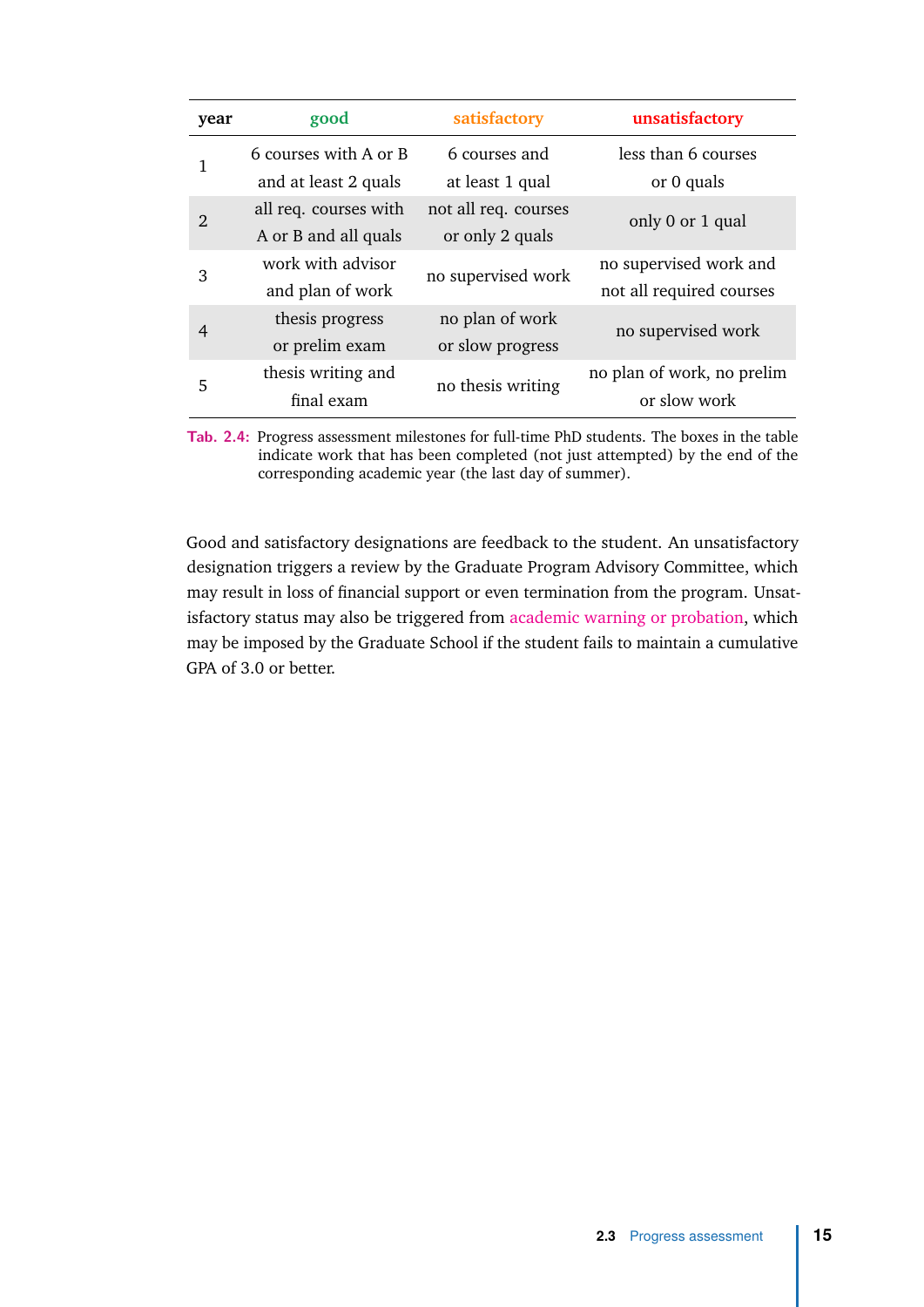| year | good                  | satisfactory         | unsatisfactory             |  |
|------|-----------------------|----------------------|----------------------------|--|
| 1    | 6 courses with A or B | 6 courses and        | less than 6 courses        |  |
|      | and at least 2 quals  | at least 1 qual      | or 0 quals                 |  |
| 2    | all req. courses with | not all req. courses | only 0 or 1 qual           |  |
|      | A or B and all quals  | or only 2 quals      |                            |  |
| 3    | work with advisor     | no supervised work   | no supervised work and     |  |
|      | and plan of work      |                      | not all required courses   |  |
| 4    | thesis progress       | no plan of work      | no supervised work         |  |
|      | or prelim exam        | or slow progress     |                            |  |
| 5    | thesis writing and    | no thesis writing    | no plan of work, no prelim |  |
|      | final exam            |                      | or slow work               |  |

**Tab. 2.4:** Progress assessment milestones for full-time PhD students. The boxes in the table indicate work that has been completed (not just attempted) by the end of the corresponding academic year (the last day of summer).

Good and satisfactory designations are feedback to the student. An unsatisfactory designation triggers a review by the Graduate Program Advisory Committee, which may result in loss of financial support or even termination from the program. Unsatisfactory status may also be triggered from [academic warning or probation,](https://grad.ncsu.edu/students/rules-and-regulations/handbook/3-19-academic-difficulty/) which may be imposed by the Graduate School if the student fails to maintain a cumulative GPA of 3.0 or better.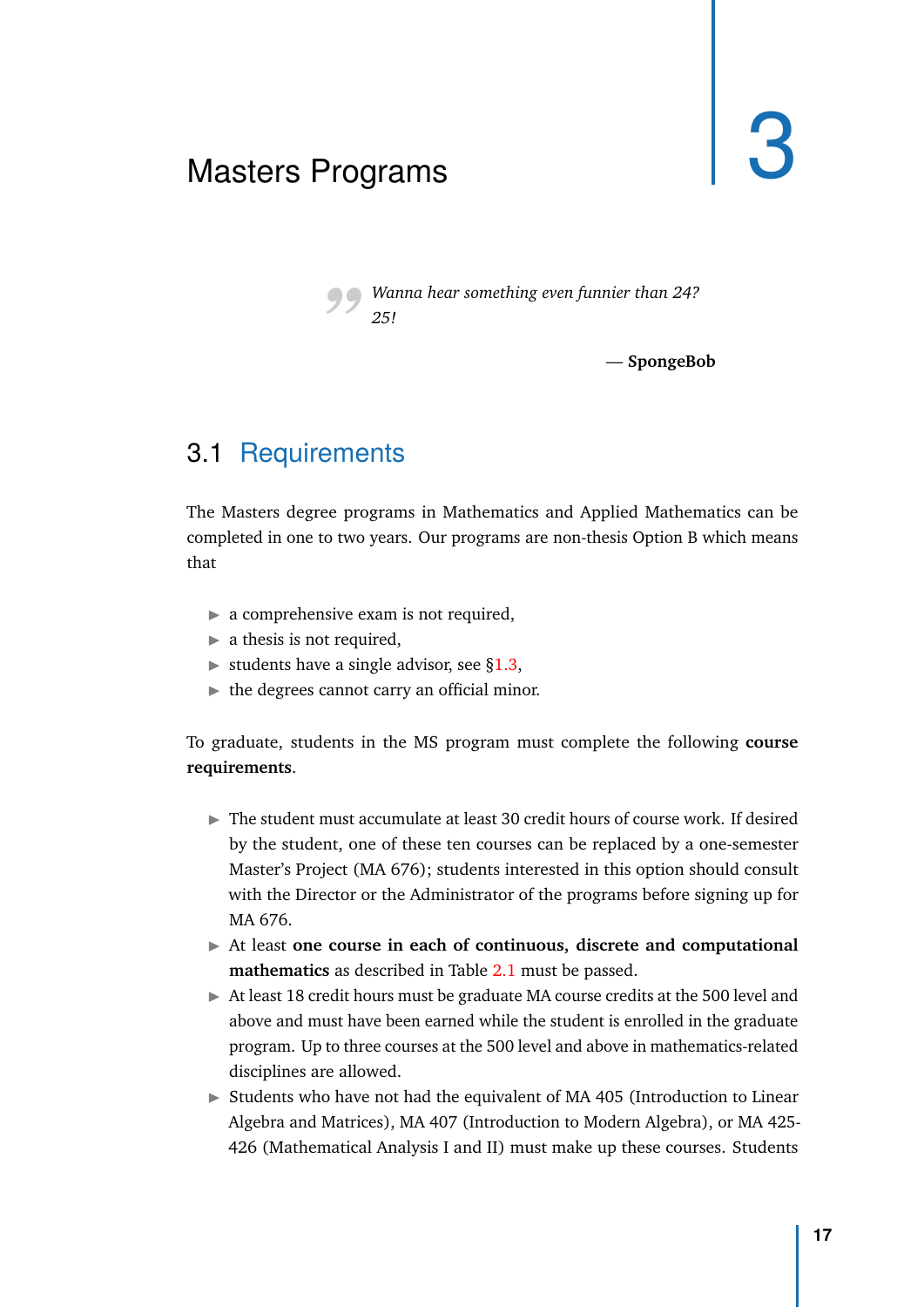## <span id="page-24-2"></span><span id="page-24-0"></span>Masters Programs

*"Wanna hear something even funnier than 24? 25!*

— **SpongeBob**

## 3.1 Requirements

<span id="page-24-1"></span>The Masters degree programs in Mathematics and Applied Mathematics can be completed in one to two years. Our programs are non-thesis Option B which means that

- $\triangleright$  a comprehensive exam is not required,
- $\blacktriangleright$  a thesis is not required,
- $\triangleright$  students have a single advisor, see [§1.3,](#page-9-1)
- $\blacktriangleright$  the degrees cannot carry an official minor.

To graduate, students in the MS program must complete the following **course requirements**.

- $\triangleright$  The student must accumulate at least 30 credit hours of course work. If desired by the student, one of these ten courses can be replaced by a one-semester Master's Project (MA 676); students interested in this option should consult with the Director or the Administrator of the programs before signing up for MA 676.
- In At least one course in each of continuous, discrete and computational **mathematics** as described in Table [2.1](#page-14-1) must be passed.
- $\triangleright$  At least 18 credit hours must be graduate MA course credits at the 500 level and above and must have been earned while the student is enrolled in the graduate program. Up to three courses at the 500 level and above in mathematics-related disciplines are allowed.
- $\triangleright$  Students who have not had the equivalent of MA 405 (Introduction to Linear Algebra and Matrices), MA 407 (Introduction to Modern Algebra), or MA 425- 426 (Mathematical Analysis I and II) must make up these courses. Students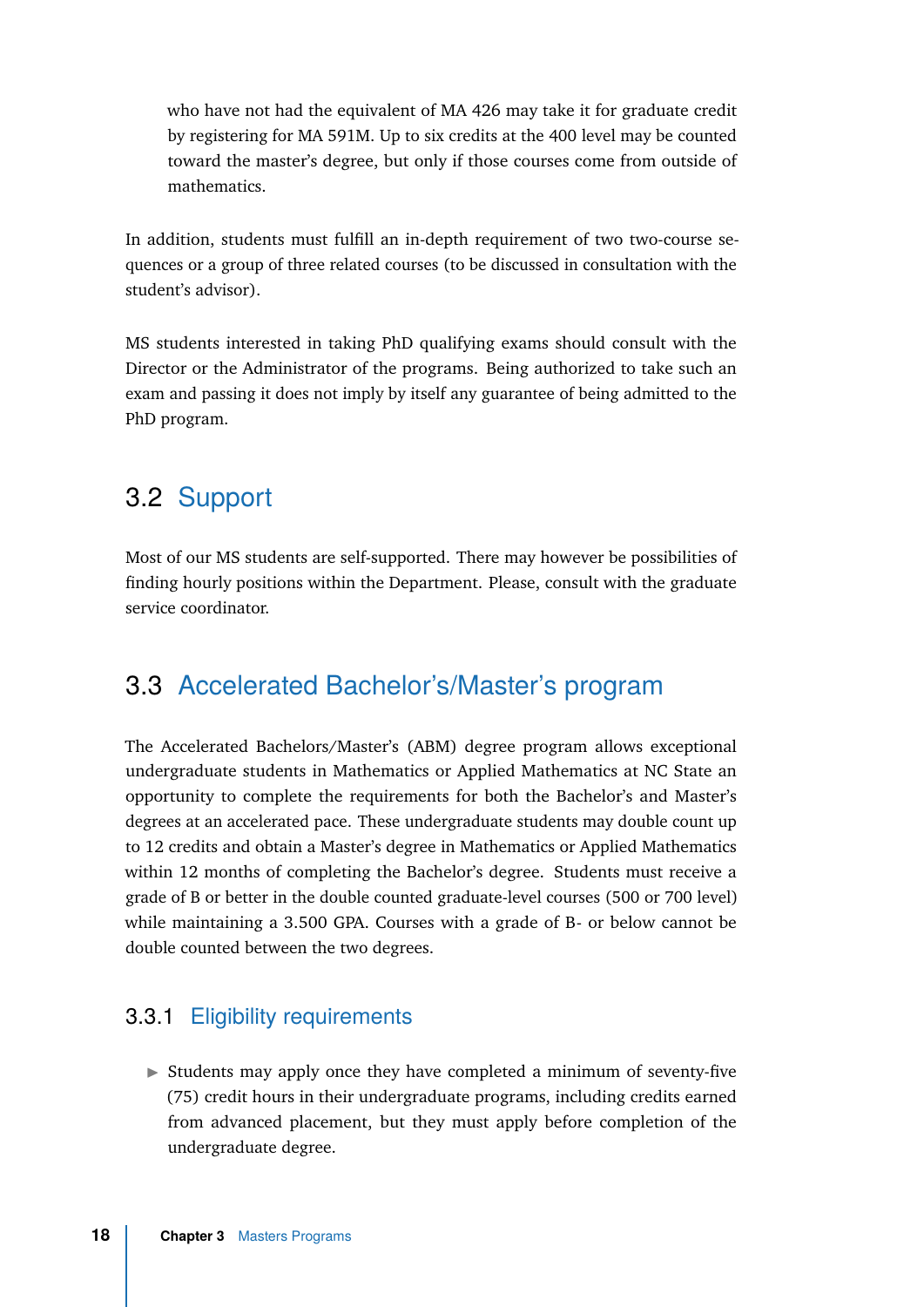who have not had the equivalent of MA 426 may take it for graduate credit by registering for MA 591M. Up to six credits at the 400 level may be counted toward the master's degree, but only if those courses come from outside of mathematics.

In addition, students must fulfill an in-depth requirement of two two-course sequences or a group of three related courses (to be discussed in consultation with the student's advisor).

MS students interested in taking PhD qualifying exams should consult with the Director or the Administrator of the programs. Being authorized to take such an exam and passing it does not imply by itself any guarantee of being admitted to the PhD program.

## 3.2 Support

<span id="page-25-0"></span>Most of our MS students are self-supported. There may however be possibilities of finding hourly positions within the Department. Please, consult with the graduate service coordinator.

### 3.3 Accelerated Bachelor's/Master's program

<span id="page-25-1"></span>The Accelerated Bachelors/Master's (ABM) degree program allows exceptional undergraduate students in Mathematics or Applied Mathematics at NC State an opportunity to complete the requirements for both the Bachelor's and Master's degrees at an accelerated pace. These undergraduate students may double count up to 12 credits and obtain a Master's degree in Mathematics or Applied Mathematics within 12 months of completing the Bachelor's degree. Students must receive a grade of B or better in the double counted graduate-level courses (500 or 700 level) while maintaining a 3.500 GPA. Courses with a grade of B- or below cannot be double counted between the two degrees.

#### <span id="page-25-2"></span>3.3.1 Eligibility requirements

 $\triangleright$  Students may apply once they have completed a minimum of seventy-five (75) credit hours in their undergraduate programs, including credits earned from advanced placement, but they must apply before completion of the undergraduate degree.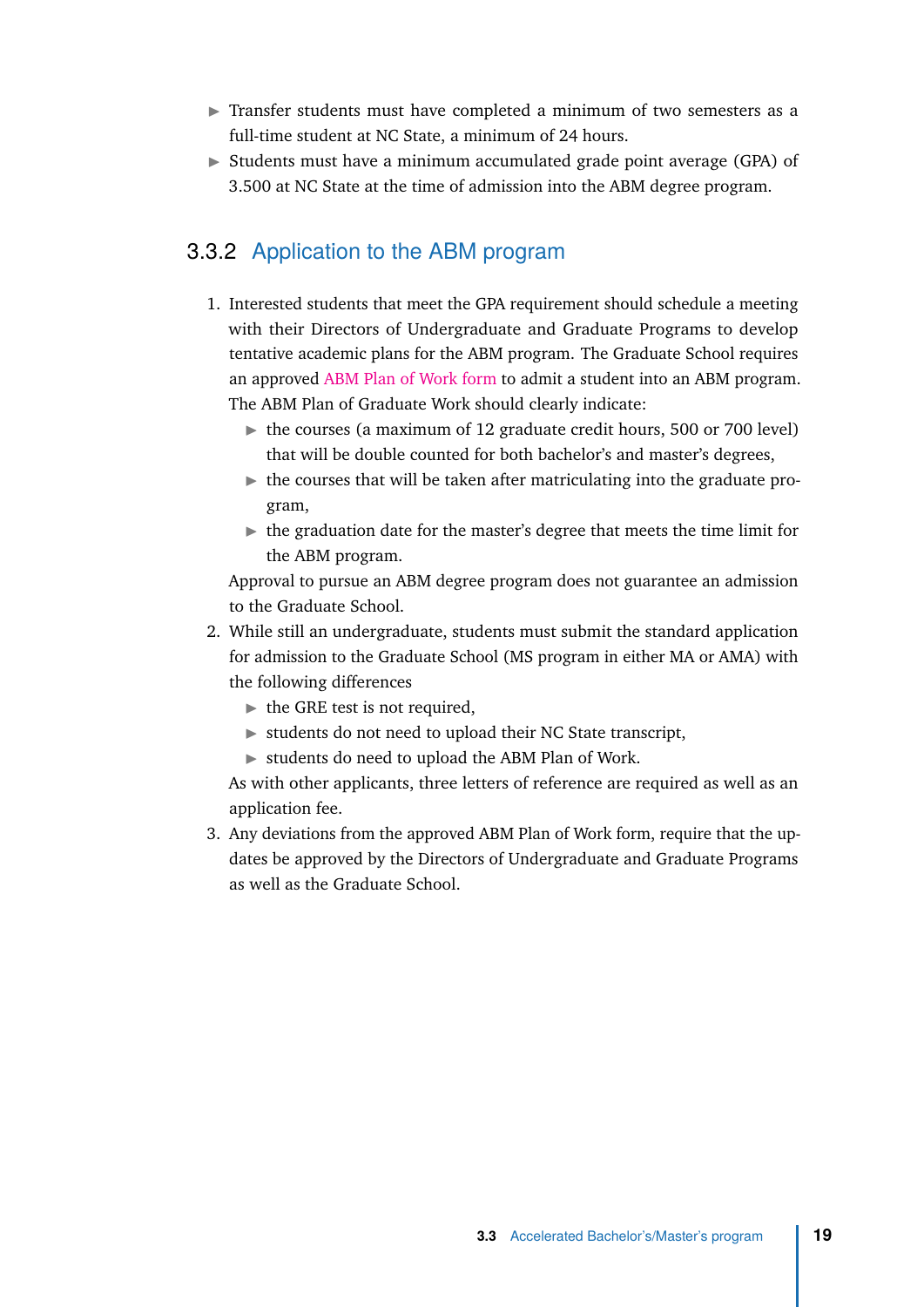- $\triangleright$  Transfer students must have completed a minimum of two semesters as a full-time student at NC State, a minimum of 24 hours.
- $\triangleright$  Students must have a minimum accumulated grade point average (GPA) of 3.500 at NC State at the time of admission into the ABM degree program.

#### <span id="page-26-0"></span>3.3.2 Application to the ABM program

- 1. Interested students that meet the GPA requirement should schedule a meeting with their Directors of Undergraduate and Graduate Programs to develop tentative academic plans for the ABM program. The Graduate School requires an approved [ABM Plan of Work form](https://grad.ncsu.edu/wp-content/uploads/2015/11/abm-plan-of-work.pdf) to admit a student into an ABM program. The ABM Plan of Graduate Work should clearly indicate:
	- $\triangleright$  the courses (a maximum of 12 graduate credit hours, 500 or 700 level) that will be double counted for both bachelor's and master's degrees,
	- $\blacktriangleright$  the courses that will be taken after matriculating into the graduate program,
	- $\blacktriangleright$  the graduation date for the master's degree that meets the time limit for the ABM program.

Approval to pursue an ABM degree program does not guarantee an admission to the Graduate School.

- 2. While still an undergraduate, students must submit the standard application for admission to the Graduate School (MS program in either MA or AMA) with the following differences
	- $\blacktriangleright$  the GRE test is not required,
	- $\triangleright$  students do not need to upload their NC State transcript,
	- $\triangleright$  students do need to upload the ABM Plan of Work.

As with other applicants, three letters of reference are required as well as an application fee.

3. Any deviations from the approved ABM Plan of Work form, require that the updates be approved by the Directors of Undergraduate and Graduate Programs as well as the Graduate School.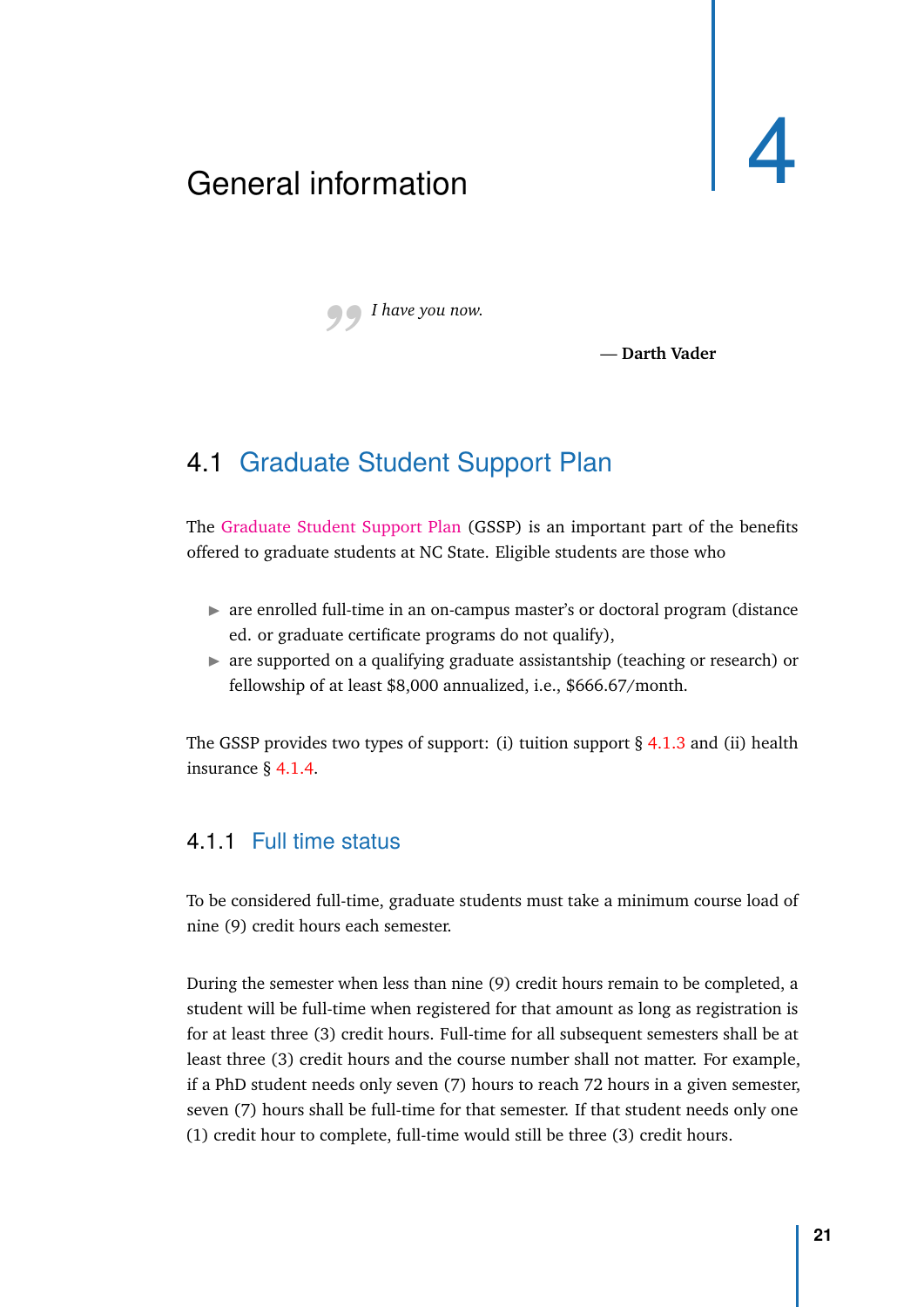## <span id="page-28-0"></span>General information



*"I have you now.*

— **Darth Vader**

## 4.1 Graduate Student Support Plan

<span id="page-28-1"></span>The [Graduate Student Support Plan](https://grad.ncsu.edu/students/gssp/) (GSSP) is an important part of the benefits offered to graduate students at NC State. Eligible students are those who

- $\triangleright$  are enrolled full-time in an on-campus master's or doctoral program (distance ed. or graduate certificate programs do not qualify),
- $\triangleright$  are supported on a qualifying graduate assistantship (teaching or research) or fellowship of at least \$8,000 annualized, i.e., \$666.67/month.

The GSSP provides two types of support: (i) tuition support  $\S$  [4.1.3](#page-29-1) and (ii) health insurance § [4.1.4.](#page-30-0)

#### <span id="page-28-2"></span>4.1.1 Full time status

To be considered full-time, graduate students must take a minimum course load of nine (9) credit hours each semester.

During the semester when less than nine (9) credit hours remain to be completed, a student will be full-time when registered for that amount as long as registration is for at least three (3) credit hours. Full-time for all subsequent semesters shall be at least three (3) credit hours and the course number shall not matter. For example, if a PhD student needs only seven (7) hours to reach 72 hours in a given semester, seven (7) hours shall be full-time for that semester. If that student needs only one (1) credit hour to complete, full-time would still be three (3) credit hours.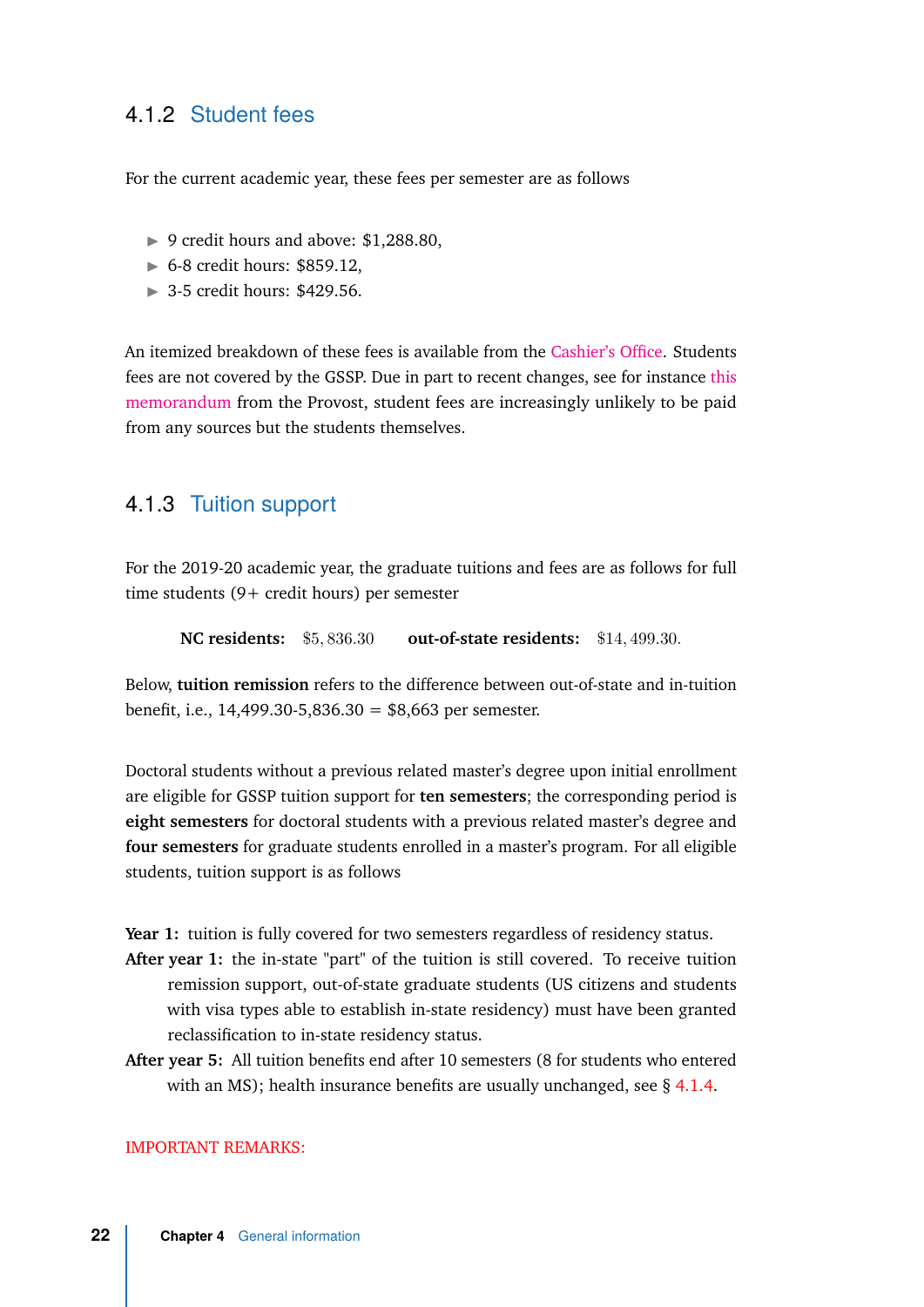#### <span id="page-29-0"></span>4.1.2 Student fees

For the current academic year, these fees per semester are as follows

- ▶ 9 credit hours and above: \$1,288.80,
- $\triangleright$  6-8 credit hours: \$859.12,
- $\blacktriangleright$  3-5 credit hours: \$429.56.

An itemized breakdown of these fees is available from the [Cashier's Office.](https://studentservices.ncsu.edu/wp-content/uploads/2019/05/Itemized-Statement-of-Fees-Graduate-2019.pdf) Students fees are not covered by the GSSP. Due in part to recent changes, see for instance [this](https://3dmemos.ncsu.edu/files/19.07.22-Contracts-Grants-and-Student-Fees-3D-memo.pdf) [memorandum](https://3dmemos.ncsu.edu/files/19.07.22-Contracts-Grants-and-Student-Fees-3D-memo.pdf) from the Provost, student fees are increasingly unlikely to be paid from any sources but the students themselves.

#### <span id="page-29-1"></span>4.1.3 Tuition support

For the 2019-20 academic year, the graduate tuitions and fees are as follows for full time students (9+ credit hours) per semester

**NC residents:** \$5*,* 836*.*30 **out-of-state residents:** \$14*,* 499*.*30*.*

Below, **tuition remission** refers to the difference between out-of-state and in-tuition benefit, i.e., 14,499.30-5,836.30 = \$8,663 per semester.

Doctoral students without a previous related master's degree upon initial enrollment are eligible for GSSP tuition support for **ten semesters**; the corresponding period is **eight semesters** for doctoral students with a previous related master's degree and **four semesters** for graduate students enrolled in a master's program. For all eligible students, tuition support is as follows

Year 1: tuition is fully covered for two semesters regardless of residency status.

- **After year 1:** the in-state "part" of the tuition is still covered. To receive tuition remission support, out-of-state graduate students (US citizens and students with visa types able to establish in-state residency) must have been granted reclassification to in-state residency status.
- **After year 5:** All tuition benefits end after 10 semesters (8 for students who entered with an MS); health insurance benefits are usually unchanged, see § [4.1.4.](#page-30-0)

#### IMPORTANT REMARKS: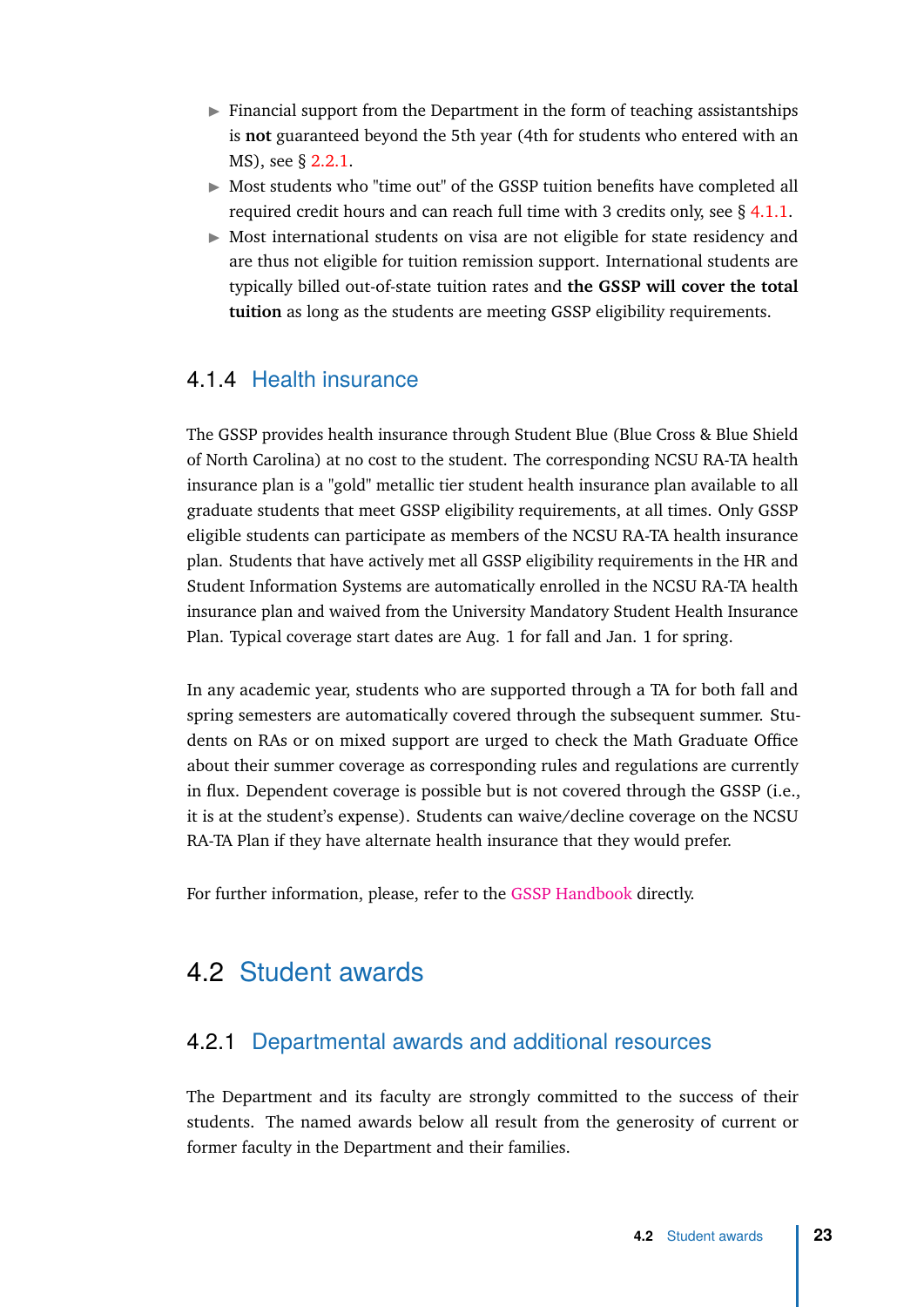- $\blacktriangleright$  Financial support from the Department in the form of teaching assistantships is **not** guaranteed beyond the 5th year (4th for students who entered with an MS), see § [2.2.1.](#page-20-0)
- $\triangleright$  Most students who "time out" of the GSSP tuition benefits have completed all required credit hours and can reach full time with 3 credits only, see § [4.1.1.](#page-28-2)
- $\triangleright$  Most international students on visa are not eligible for state residency and are thus not eligible for tuition remission support. International students are typically billed out-of-state tuition rates and **the GSSP will cover the total tuition** as long as the students are meeting GSSP eligibility requirements.

#### <span id="page-30-0"></span>4.1.4 Health insurance

The GSSP provides health insurance through Student Blue (Blue Cross & Blue Shield of North Carolina) at no cost to the student. The corresponding NCSU RA-TA health insurance plan is a "gold" metallic tier student health insurance plan available to all graduate students that meet GSSP eligibility requirements, at all times. Only GSSP eligible students can participate as members of the NCSU RA-TA health insurance plan. Students that have actively met all GSSP eligibility requirements in the HR and Student Information Systems are automatically enrolled in the NCSU RA-TA health insurance plan and waived from the University Mandatory Student Health Insurance Plan. Typical coverage start dates are Aug. 1 for fall and Jan. 1 for spring.

In any academic year, students who are supported through a TA for both fall and spring semesters are automatically covered through the subsequent summer. Students on RAs or on mixed support are urged to check the Math Graduate Office about their summer coverage as corresponding rules and regulations are currently in flux. Dependent coverage is possible but is not covered through the GSSP (i.e., it is at the student's expense). Students can waive/decline coverage on the NCSU RA-TA Plan if they have alternate health insurance that they would prefer.

For further information, please, refer to the [GSSP Handbook](https://grad.ncsu.edu/students/gssp/) directly.

#### <span id="page-30-1"></span>4.2 Student awards

#### 4.2.1 Departmental awards and additional resources

<span id="page-30-2"></span>The Department and its faculty are strongly committed to the success of their students. The named awards below all result from the generosity of current or former faculty in the Department and their families.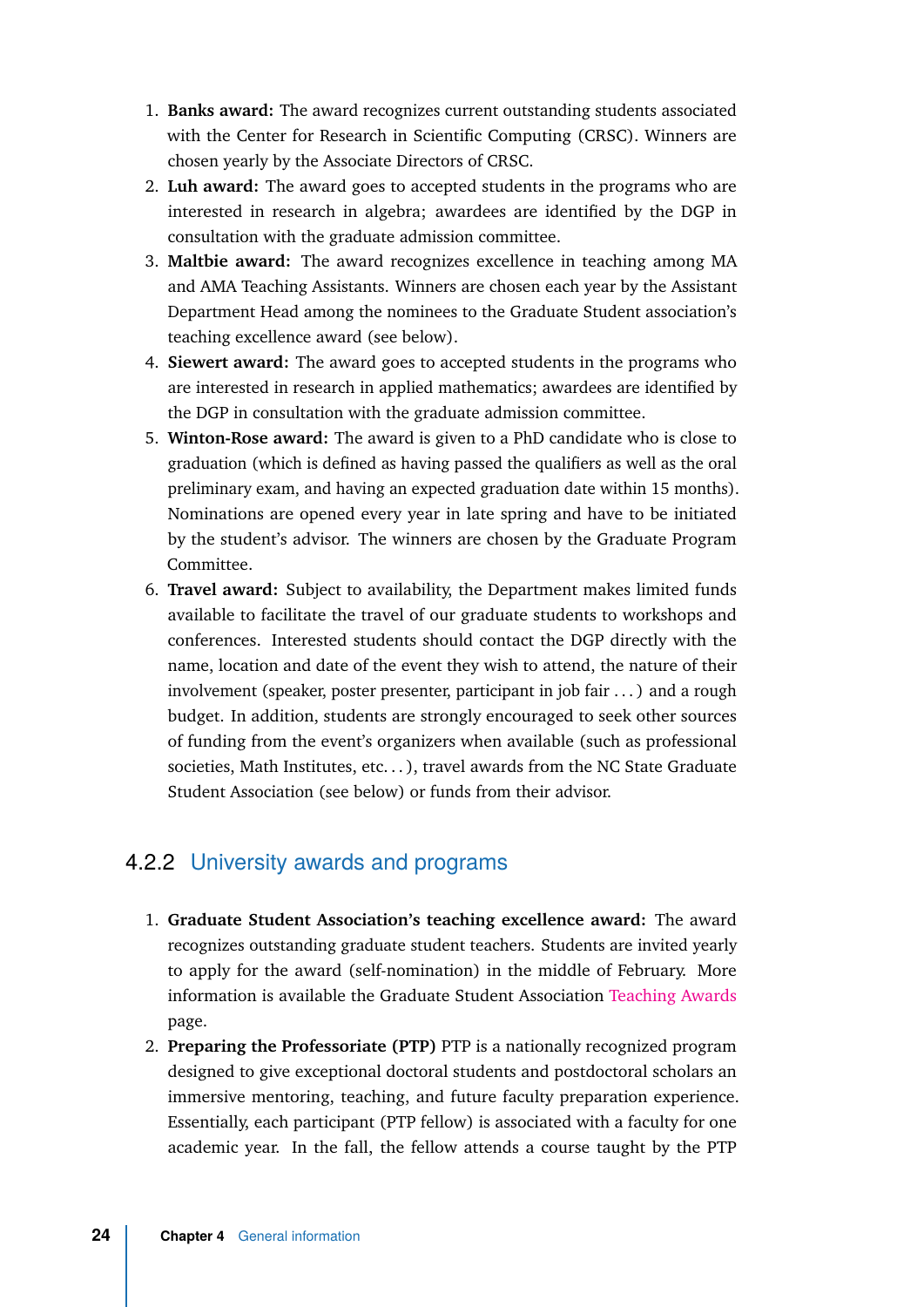- 1. **Banks award:** The award recognizes current outstanding students associated with the Center for Research in Scientific Computing (CRSC). Winners are chosen yearly by the Associate Directors of CRSC.
- 2. **Luh award:** The award goes to accepted students in the programs who are interested in research in algebra; awardees are identified by the DGP in consultation with the graduate admission committee.
- 3. **Maltbie award:** The award recognizes excellence in teaching among MA and AMA Teaching Assistants. Winners are chosen each year by the Assistant Department Head among the nominees to the Graduate Student association's teaching excellence award (see below).
- 4. **Siewert award:** The award goes to accepted students in the programs who are interested in research in applied mathematics; awardees are identified by the DGP in consultation with the graduate admission committee.
- 5. **Winton-Rose award:** The award is given to a PhD candidate who is close to graduation (which is defined as having passed the qualifiers as well as the oral preliminary exam, and having an expected graduation date within 15 months). Nominations are opened every year in late spring and have to be initiated by the student's advisor. The winners are chosen by the Graduate Program Committee.
- 6. **Travel award:** Subject to availability, the Department makes limited funds available to facilitate the travel of our graduate students to workshops and conferences. Interested students should contact the DGP directly with the name, location and date of the event they wish to attend, the nature of their involvement (speaker, poster presenter, participant in job fair . . . ) and a rough budget. In addition, students are strongly encouraged to seek other sources of funding from the event's organizers when available (such as professional societies, Math Institutes, etc...), travel awards from the NC State Graduate Student Association (see below) or funds from their advisor.

#### <span id="page-31-0"></span>4.2.2 University awards and programs

- 1. **Graduate Student Association's teaching excellence award:** The award recognizes outstanding graduate student teachers. Students are invited yearly to apply for the award (self-nomination) in the middle of February. More information is available the Graduate Student Association [Teaching Awards](https://orgs.ncsu.edu/gsa/teaching-awards/) page.
- 2. **Preparing the Professoriate (PTP)** PTP is a nationally recognized program designed to give exceptional doctoral students and postdoctoral scholars an immersive mentoring, teaching, and future faculty preparation experience. Essentially, each participant (PTP fellow) is associated with a faculty for one academic year. In the fall, the fellow attends a course taught by the PTP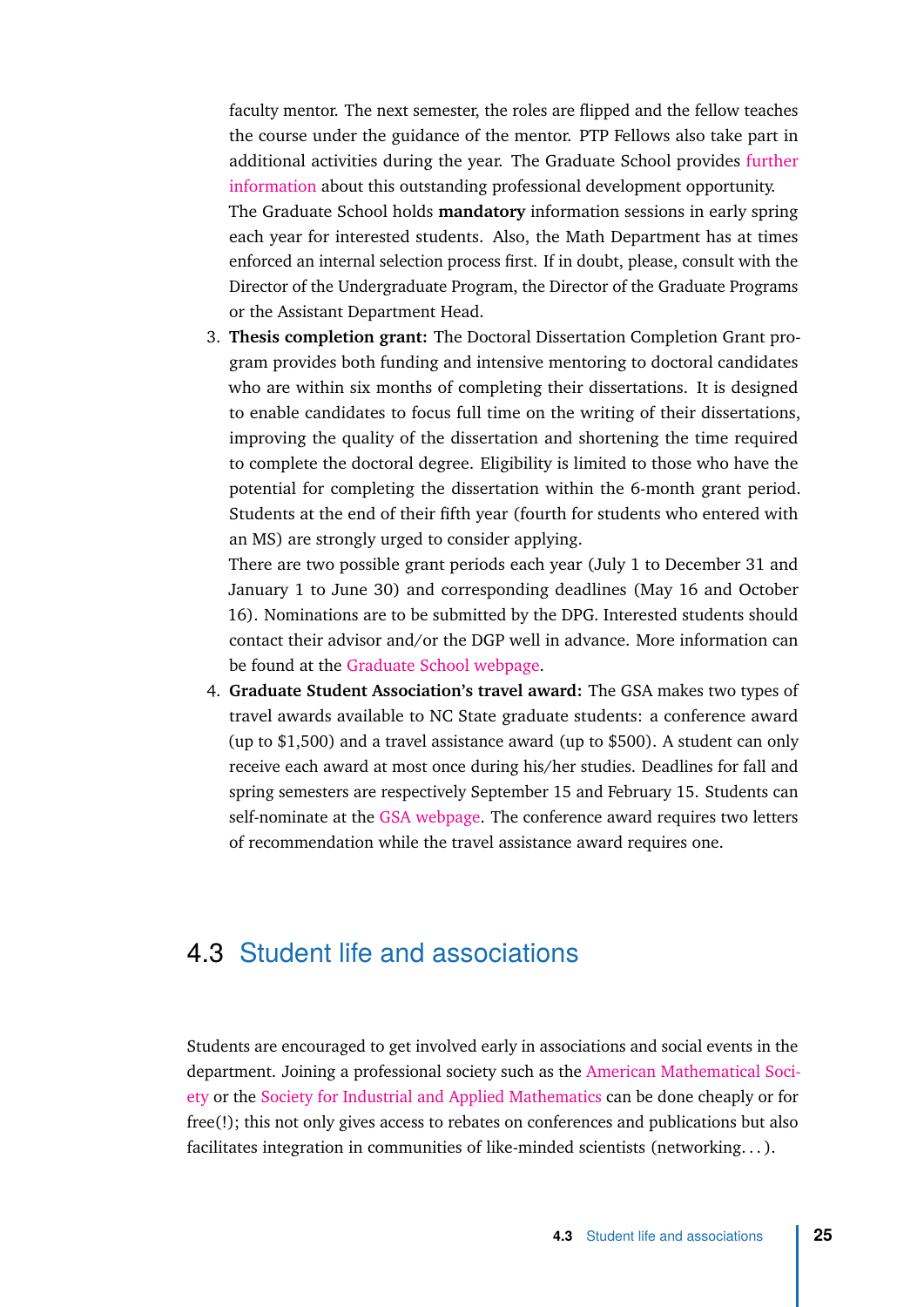faculty mentor. The next semester, the roles are flipped and the fellow teaches the course under the guidance of the mentor. PTP Fellows also take part in additional activities during the year. The Graduate School provides [further](https://grad.ncsu.edu/students/professional-development/ptp/) [information](https://grad.ncsu.edu/students/professional-development/ptp/) about this outstanding professional development opportunity. The Graduate School holds **mandatory** information sessions in early spring each year for interested students. Also, the Math Department has at times enforced an internal selection process first. If in doubt, please, consult with the Director of the Undergraduate Program, the Director of the Graduate Programs or the Assistant Department Head.

3. **Thesis completion grant:** The Doctoral Dissertation Completion Grant program provides both funding and intensive mentoring to doctoral candidates who are within six months of completing their dissertations. It is designed to enable candidates to focus full time on the writing of their dissertations, improving the quality of the dissertation and shortening the time required to complete the doctoral degree. Eligibility is limited to those who have the potential for completing the dissertation within the 6-month grant period. Students at the end of their fifth year (fourth for students who entered with an MS) are strongly urged to consider applying.

There are two possible grant periods each year (July 1 to December 31 and January 1 to June 30) and corresponding deadlines (May 16 and October 16). Nominations are to be submitted by the DPG. Interested students should contact their advisor and/or the DGP well in advance. More information can be found at the [Graduate School webpage.](https://grad.ncsu.edu/students/fellowships-and-grants/opportunities/doctoral-dissertation-completion-grants/)

4. **Graduate Student Association's travel award:** The GSA makes two types of travel awards available to NC State graduate students: a conference award (up to \$1,500) and a travel assistance award (up to \$500). A student can only receive each award at most once during his/her studies. Deadlines for fall and spring semesters are respectively September 15 and February 15. Students can self-nominate at the [GSA webpage.](https://orgs.ncsu.edu/gsa/conference-award/) The conference award requires two letters of recommendation while the travel assistance award requires one.

## <span id="page-32-0"></span>4.3 Student life and associations

Students are encouraged to get involved early in associations and social events in the department. Joining a professional society such as the [American Mathematical Soci](https://www.ams.org/home/page)[ety](https://www.ams.org/home/page) or the [Society for Industrial and Applied Mathematics](www.siam.org) can be done cheaply or for free(!); this not only gives access to rebates on conferences and publications but also facilitates integration in communities of like-minded scientists (networking. . . ).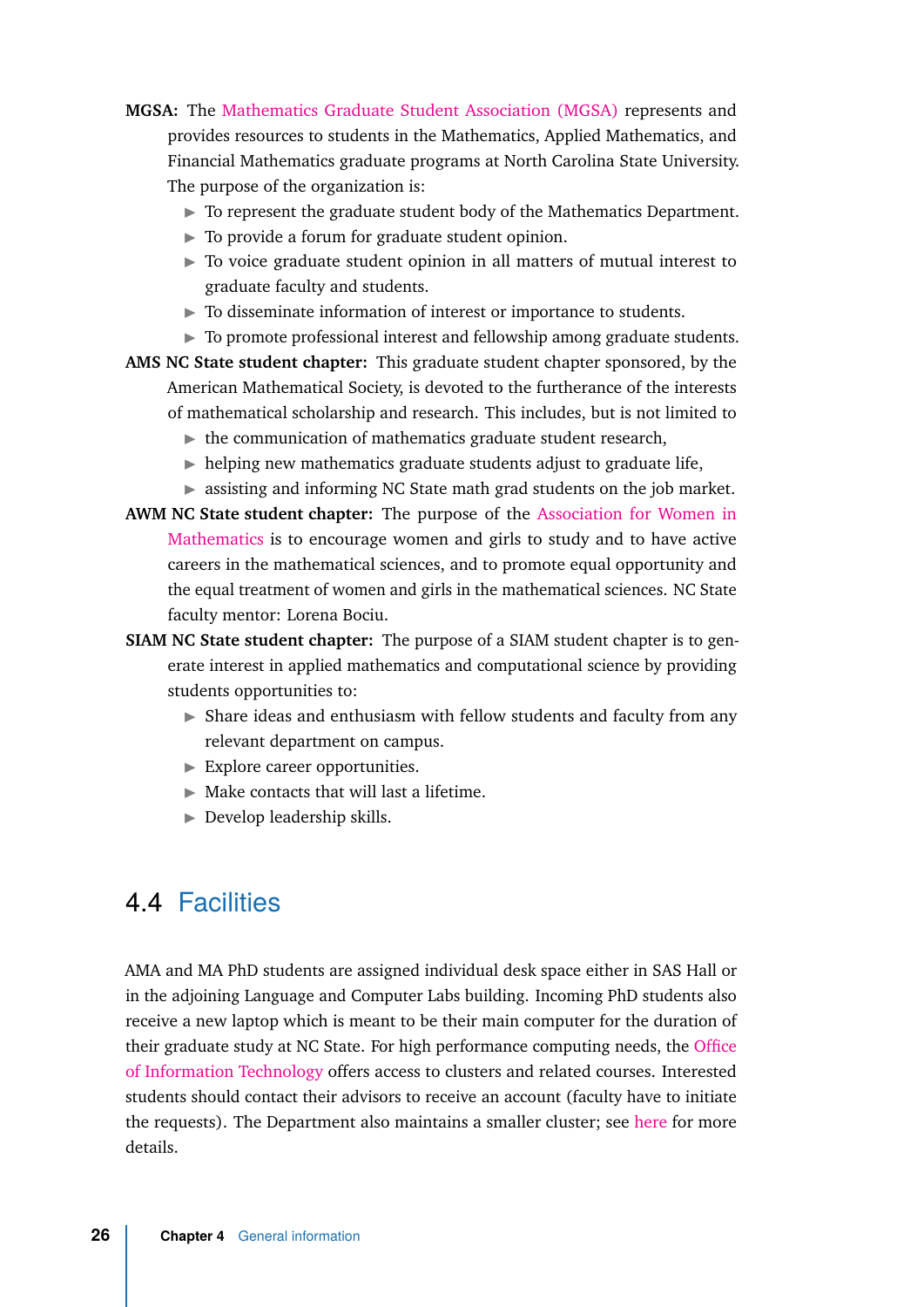- **MGSA:** The [Mathematics Graduate Student Association \(MGSA\)](https://mgsa.wordpress.ncsu.edu) represents and provides resources to students in the Mathematics, Applied Mathematics, and Financial Mathematics graduate programs at North Carolina State University. The purpose of the organization is:
	- $\triangleright$  To represent the graduate student body of the Mathematics Department.
	- $\triangleright$  To provide a forum for graduate student opinion.
	- $\triangleright$  To voice graduate student opinion in all matters of mutual interest to graduate faculty and students.
	- $\triangleright$  To disseminate information of interest or importance to students.
	- $\triangleright$  To promote professional interest and fellowship among graduate students.
- **AMS NC State student chapter:** This graduate student chapter sponsored, by the American Mathematical Society, is devoted to the furtherance of the interests of mathematical scholarship and research. This includes, but is not limited to
	- $\blacktriangleright$  the communication of mathematics graduate student research,
	- $\blacktriangleright$  helping new mathematics graduate students adjust to graduate life,
	- $\triangleright$  assisting and informing NC State math grad students on the job market.
- **AWM NC State student chapter:** The purpose of the [Association for Women in](https://sites.google.com/site/awmmath/home) [Mathematics](https://sites.google.com/site/awmmath/home) is to encourage women and girls to study and to have active careers in the mathematical sciences, and to promote equal opportunity and the equal treatment of women and girls in the mathematical sciences. NC State faculty mentor: Lorena Bociu.
- **SIAM NC State student chapter:** The purpose of a SIAM student chapter is to generate interest in applied mathematics and computational science by providing students opportunities to:
	- $\triangleright$  Share ideas and enthusiasm with fellow students and faculty from any relevant department on campus.
	- $\blacktriangleright$  Explore career opportunities.
	- $\triangleright$  Make contacts that will last a lifetime.
	- $\blacktriangleright$  Develop leadership skills.

## <span id="page-33-0"></span>4.4 Facilities

AMA and MA PhD students are assigned individual desk space either in SAS Hall or in the adjoining Language and Computer Labs building. Incoming PhD students also receive a new laptop which is meant to be their main computer for the duration of their graduate study at NC State. For high performance computing needs, the [Office](https://projects.ncsu.edu/hpc//main.php) [of Information Technology](https://projects.ncsu.edu/hpc//main.php) offers access to clusters and related courses. Interested students should contact their advisors to receive an account (faculty have to initiate the requests). The Department also maintains a smaller cluster; see [here](https://wp.math.ncsu.edu/it/high-powered-computing-cluster/) for more details.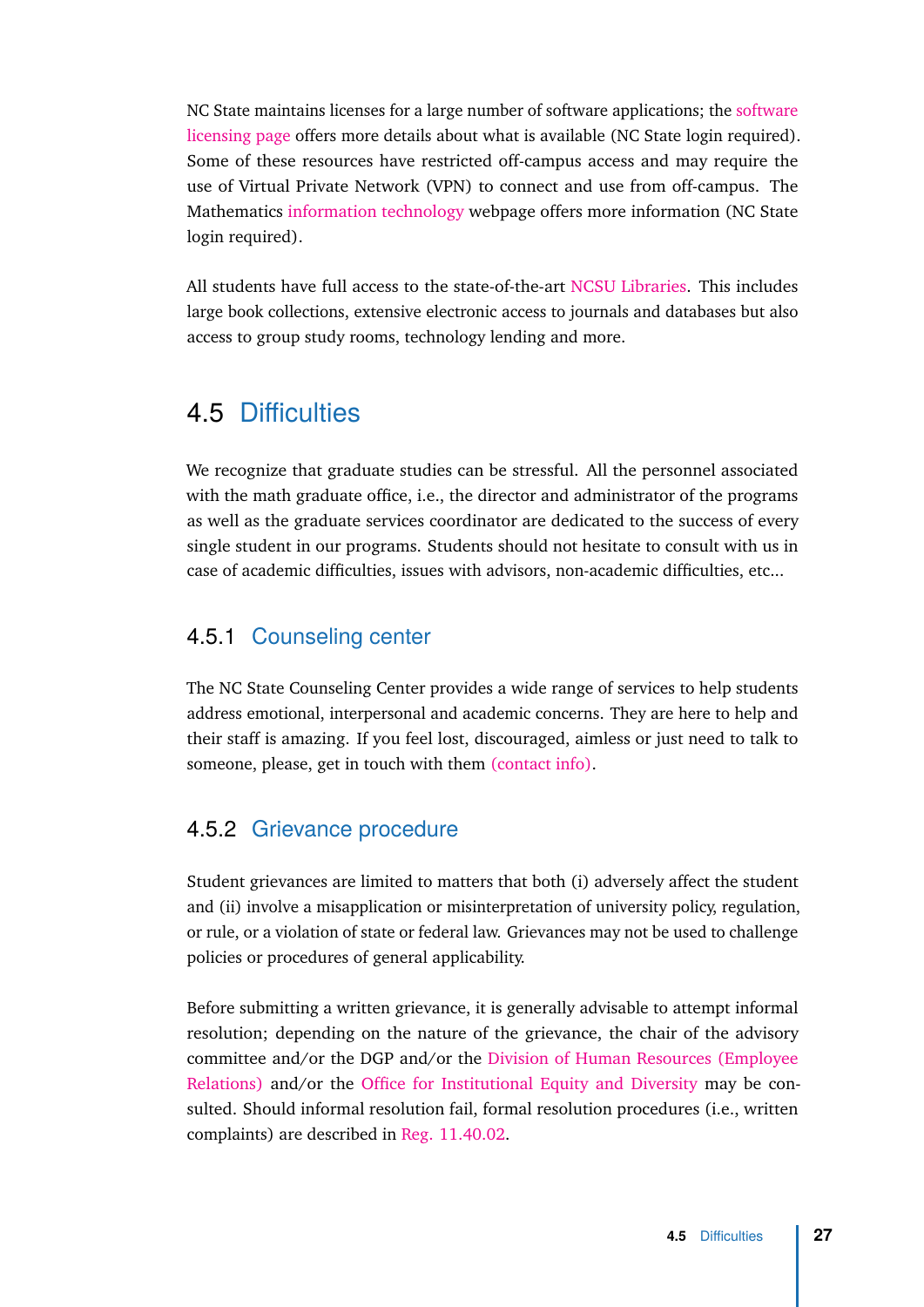NC State maintains licenses for a large number of software applications; the [software](https://software.ncsu.edu/faculty-staff-university/) [licensing page](https://software.ncsu.edu/faculty-staff-university/) offers more details about what is available (NC State login required). Some of these resources have restricted off-campus access and may require the use of Virtual Private Network (VPN) to connect and use from off-campus. The Mathematics [information technology](https://wp.math.ncsu.edu/it/) webpage offers more information (NC State login required).

All students have full access to the state-of-the-art [NCSU Libraries.](https://www.lib.ncsu.edu) This includes large book collections, extensive electronic access to journals and databases but also access to group study rooms, technology lending and more.

## 4.5 Difficulties

<span id="page-34-0"></span>We recognize that graduate studies can be stressful. All the personnel associated with the math graduate office, i.e., the director and administrator of the programs as well as the graduate services coordinator are dedicated to the success of every single student in our programs. Students should not hesitate to consult with us in case of academic difficulties, issues with advisors, non-academic difficulties, etc...

#### 4.5.1 Counseling center

<span id="page-34-1"></span>The NC State Counseling Center provides a wide range of services to help students address emotional, interpersonal and academic concerns. They are here to help and their staff is amazing. If you feel lost, discouraged, aimless or just need to talk to someone, please, get in touch with them [\(contact info\).](https://counseling.dasa.ncsu.edu/about-us/appointments/)

#### 4.5.2 Grievance procedure

<span id="page-34-2"></span>Student grievances are limited to matters that both (i) adversely affect the student and (ii) involve a misapplication or misinterpretation of university policy, regulation, or rule, or a violation of state or federal law. Grievances may not be used to challenge policies or procedures of general applicability.

Before submitting a written grievance, it is generally advisable to attempt informal resolution; depending on the nature of the grievance, the chair of the advisory committee and/or the DGP and/or the [Division of Human Resources \(Employee](https://er.hr.ncsu.edu) [Relations\)](https://er.hr.ncsu.edu) and/or the [Office for Institutional Equity and Diversity](https://oied.ncsu.edu/divweb/) may be consulted. Should informal resolution fail, formal resolution procedures (i.e., written complaints) are described in [Reg. 11.40.02.](https://policies.ncsu.edu/regulation/reg-11-40-02/)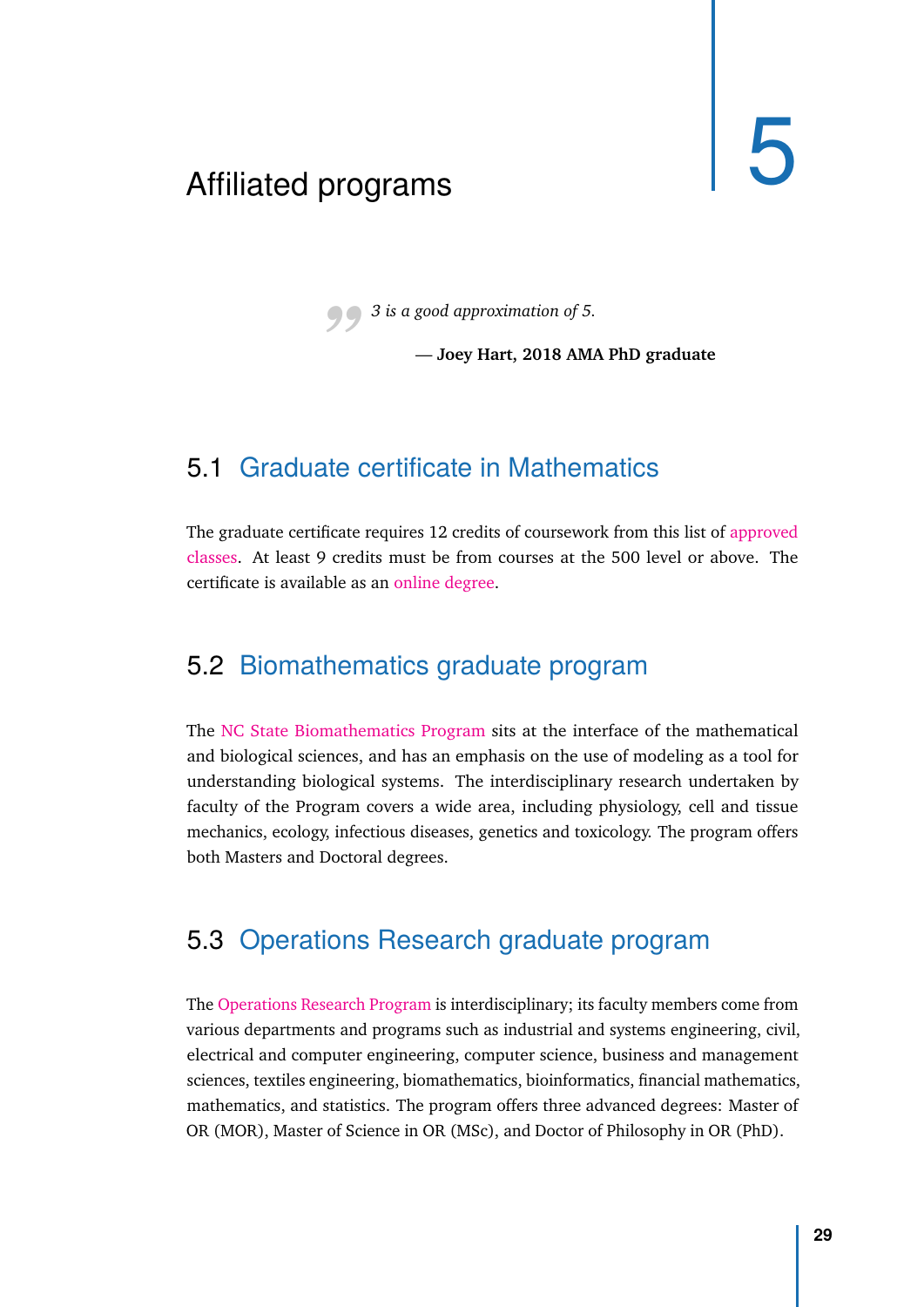## <span id="page-36-0"></span>Affiliated programs 5

*"3 is a good approximation of 5.*

— **Joey Hart, 2018 AMA PhD graduate**

## <span id="page-36-1"></span>5.1 Graduate certificate in Mathematics

The graduate certificate requires 12 credits of coursework from this list of [approved](https://online.math.ncsu.edu/courses/) [classes.](https://online.math.ncsu.edu/courses/) At least 9 credits must be from courses at the 500 level or above. The certificate is available as an [online degree.](https://online.math.ncsu.edu/)

## <span id="page-36-2"></span>5.2 Biomathematics graduate program

The [NC State Biomathematics Program](http://bma.math.ncsu.edu/) sits at the interface of the mathematical and biological sciences, and has an emphasis on the use of modeling as a tool for understanding biological systems. The interdisciplinary research undertaken by faculty of the Program covers a wide area, including physiology, cell and tissue mechanics, ecology, infectious diseases, genetics and toxicology. The program offers both Masters and Doctoral degrees.

## <span id="page-36-3"></span>5.3 Operations Research graduate program

The [Operations Research Program](https://www.or.ncsu.edu) is interdisciplinary; its faculty members come from various departments and programs such as industrial and systems engineering, civil, electrical and computer engineering, computer science, business and management sciences, textiles engineering, biomathematics, bioinformatics, financial mathematics, mathematics, and statistics. The program offers three advanced degrees: Master of OR (MOR), Master of Science in OR (MSc), and Doctor of Philosophy in OR (PhD).